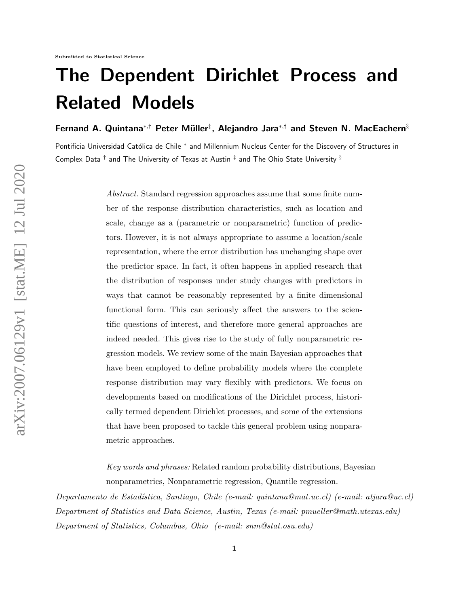# The Dependent Dirichlet Process and Related Models

Fernand A. Quintana $^{*,\dagger}$  Peter Müller $^{\ddagger}$ , Alejandro Jara $^{*,\dagger}$  and Steven N. MacEachern $^{\S}$ 

Pontificia Universidad Católica de Chile \* and Millennium Nucleus Center for the Discovery of Structures in Complex Data  $^\dagger$  and The University of Texas at Austin  $^\ddag$  and The Ohio State University  $^\S$ 

> Abstract. Standard regression approaches assume that some finite number of the response distribution characteristics, such as location and scale, change as a (parametric or nonparametric) function of predictors. However, it is not always appropriate to assume a location/scale representation, where the error distribution has unchanging shape over the predictor space. In fact, it often happens in applied research that the distribution of responses under study changes with predictors in ways that cannot be reasonably represented by a finite dimensional functional form. This can seriously affect the answers to the scientific questions of interest, and therefore more general approaches are indeed needed. This gives rise to the study of fully nonparametric regression models. We review some of the main Bayesian approaches that have been employed to define probability models where the complete response distribution may vary flexibly with predictors. We focus on developments based on modifications of the Dirichlet process, historically termed dependent Dirichlet processes, and some of the extensions that have been proposed to tackle this general problem using nonparametric approaches.

Key words and phrases: Related random probability distributions, Bayesian nonparametrics, Nonparametric regression, Quantile regression.

Departamento de Estad´ıstica, Santiago, Chile (e-mail: quintana@mat.uc.cl) (e-mail: atjara@uc.cl) Department of Statistics and Data Science, Austin, Texas (e-mail: pmueller@math.utexas.edu) Department of Statistics, Columbus, Ohio (e-mail: snm@stat.osu.edu)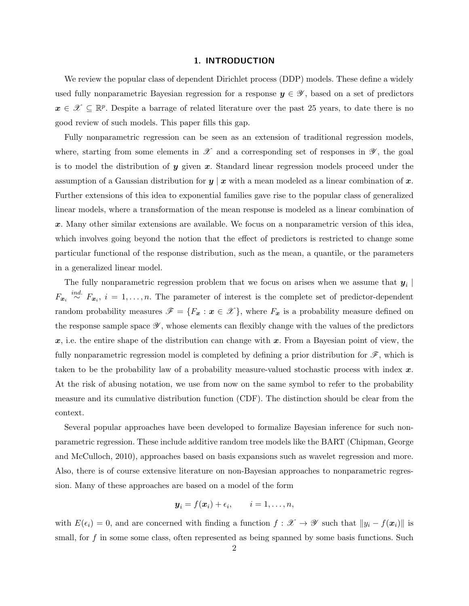#### 1. INTRODUCTION

We review the popular class of dependent Dirichlet process (DDP) models. These define a widely used fully nonparametric Bayesian regression for a response  $y \in \mathscr{Y}$ , based on a set of predictors  $x \in \mathcal{X} \subseteq \mathbb{R}^p$ . Despite a barrage of related literature over the past 25 years, to date there is no good review of such models. This paper fills this gap.

Fully nonparametric regression can be seen as an extension of traditional regression models, where, starting from some elements in  $\mathscr X$  and a corresponding set of responses in  $\mathscr Y$ , the goal is to model the distribution of  $y$  given  $x$ . Standard linear regression models proceed under the assumption of a Gaussian distribution for  $y \mid x$  with a mean modeled as a linear combination of x. Further extensions of this idea to exponential families gave rise to the popular class of generalized linear models, where a transformation of the mean response is modeled as a linear combination of x. Many other similar extensions are available. We focus on a nonparametric version of this idea, which involves going beyond the notion that the effect of predictors is restricted to change some particular functional of the response distribution, such as the mean, a quantile, or the parameters in a generalized linear model.

The fully nonparametric regression problem that we focus on arises when we assume that  $y_i$  $F_{x_i} \stackrel{ind.}{\sim} F_{x_i}$ ,  $i = 1, \ldots, n$ . The parameter of interest is the complete set of predictor-dependent random probability measures  $\mathscr{F} = \{F_x : x \in \mathscr{X}\}\$ , where  $F_x$  is a probability measure defined on the response sample space  $\mathscr{Y}$ , whose elements can flexibly change with the values of the predictors  $x$ , i.e. the entire shape of the distribution can change with  $x$ . From a Bayesian point of view, the fully nonparametric regression model is completed by defining a prior distribution for  $\mathscr{F}$ , which is taken to be the probability law of a probability measure-valued stochastic process with index  $x$ . At the risk of abusing notation, we use from now on the same symbol to refer to the probability measure and its cumulative distribution function (CDF). The distinction should be clear from the context.

Several popular approaches have been developed to formalize Bayesian inference for such nonparametric regression. These include additive random tree models like the BART (Chipman, George and McCulloch, 2010), approaches based on basis expansions such as wavelet regression and more. Also, there is of course extensive literature on non-Bayesian approaches to nonparametric regression. Many of these approaches are based on a model of the form

$$
\boldsymbol{y}_i = f(\boldsymbol{x}_i) + \epsilon_i, \qquad i = 1, \ldots, n,
$$

with  $E(\epsilon_i) = 0$ , and are concerned with finding a function  $f : \mathscr{X} \to \mathscr{Y}$  such that  $||y_i - f(x_i)||$  is small, for  $f$  in some some class, often represented as being spanned by some basis functions. Such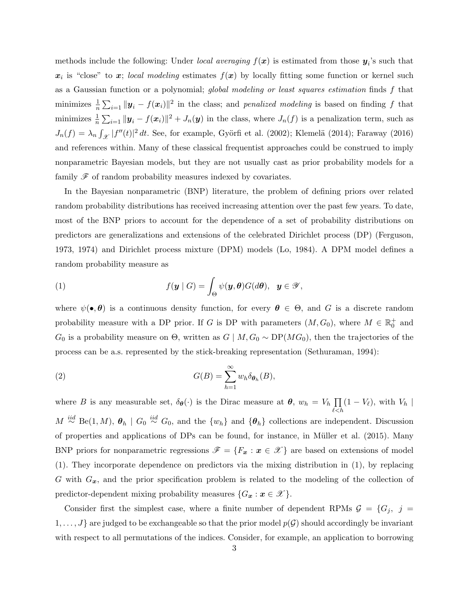methods include the following: Under *local averaging*  $f(x)$  is estimated from those  $y_i$ 's such that  $x_i$  is "close" to x; local modeling estimates  $f(x)$  by locally fitting some function or kernel such as a Gaussian function or a polynomial; global modeling or least squares estimation finds f that minimizes  $\frac{1}{n}\sum_{i=1}^n ||y_i - f(x_i)||^2$  in the class; and *penalized modeling* is based on finding f that minimizes  $\frac{1}{n} \sum_{i=1} |y_i - f(x_i)||^2 + J_n(y)$  in the class, where  $J_n(f)$  is a penalization term, such as  $J_n(f) = \lambda_n \int_{\mathcal{X}} |f''(t)|^2 dt$ . See, for example, Györfi et al. (2002); Klemelä (2014); Faraway (2016) and references within. Many of these classical frequentist approaches could be construed to imply nonparametric Bayesian models, but they are not usually cast as prior probability models for a family  $\mathscr F$  of random probability measures indexed by covariates.

In the Bayesian nonparametric (BNP) literature, the problem of defining priors over related random probability distributions has received increasing attention over the past few years. To date, most of the BNP priors to account for the dependence of a set of probability distributions on predictors are generalizations and extensions of the celebrated Dirichlet process (DP) (Ferguson, 1973, 1974) and Dirichlet process mixture (DPM) models (Lo, 1984). A DPM model defines a random probability measure as

(1) 
$$
f(\mathbf{y} \mid G) = \int_{\Theta} \psi(\mathbf{y}, \boldsymbol{\theta}) G(d\boldsymbol{\theta}), \quad \mathbf{y} \in \mathscr{Y},
$$

where  $\psi(\bullet,\theta)$  is a continuous density function, for every  $\theta \in \Theta$ , and G is a discrete random probability measure with a DP prior. If G is DP with parameters  $(M, G_0)$ , where  $M \in \mathbb{R}^+_0$  and  $G_0$  is a probability measure on  $\Theta$ , written as  $G \mid M, G_0 \sim \text{DP}(MG_0)$ , then the trajectories of the process can be a.s. represented by the stick-breaking representation (Sethuraman, 1994):

(2) 
$$
G(B) = \sum_{h=1}^{\infty} w_h \delta_{\theta_h}(B),
$$

where B is any measurable set,  $\delta_{\theta}(\cdot)$  is the Dirac measure at  $\theta$ ,  $w_h = V_h \prod_{h=1}^{h}$  $_{\ell < h}$  $(1 - V_{\ell}),$  with  $V_h$  |  $M \stackrel{iid}{\sim} \text{Be}(1, M)$ ,  $\theta_h \mid G_0 \stackrel{iid}{\sim} G_0$ , and the  $\{w_h\}$  and  $\{\theta_h\}$  collections are independent. Discussion of properties and applications of DPs can be found, for instance, in M¨uller et al. (2015). Many BNP priors for nonparametric regressions  $\mathscr{F} = \{F_x : x \in \mathscr{X}\}\$ are based on extensions of model (1). They incorporate dependence on predictors via the mixing distribution in (1), by replacing G with  $G_x$ , and the prior specification problem is related to the modeling of the collection of predictor-dependent mixing probability measures  $\{G_x : x \in \mathcal{X}\}.$ 

Consider first the simplest case, where a finite number of dependent RPMs  $\mathcal{G} = \{G_j, j =$  $1, \ldots, J$  are judged to be exchangeable so that the prior model  $p(G)$  should accordingly be invariant with respect to all permutations of the indices. Consider, for example, an application to borrowing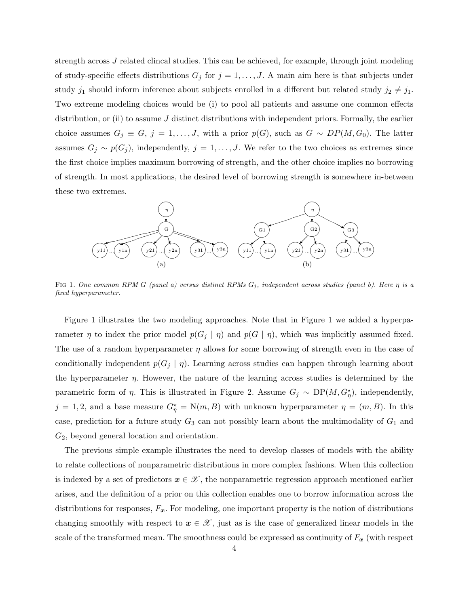strength across J related clincal studies. This can be achieved, for example, through joint modeling of study-specific effects distributions  $G_j$  for  $j = 1, \ldots, J$ . A main aim here is that subjects under study  $j_1$  should inform inference about subjects enrolled in a different but related study  $j_2 \neq j_1$ . Two extreme modeling choices would be (i) to pool all patients and assume one common effects distribution, or (ii) to assume  $J$  distinct distributions with independent priors. Formally, the earlier choice assumes  $G_j \equiv G, j = 1, ..., J$ , with a prior  $p(G)$ , such as  $G \sim DP(M, G_0)$ . The latter assumes  $G_j \sim p(G_j)$ , independently,  $j = 1, \ldots, J$ . We refer to the two choices as extremes since the first choice implies maximum borrowing of strength, and the other choice implies no borrowing of strength. In most applications, the desired level of borrowing strength is somewhere in-between these two extremes.



FIG 1. One common RPM G (panel a) versus distinct RPMs  $G_j$ , independent across studies (panel b). Here  $\eta$  is a fixed hyperparameter.

Figure 1 illustrates the two modeling approaches. Note that in Figure 1 we added a hyperparameter  $\eta$  to index the prior model  $p(G_j | \eta)$  and  $p(G | \eta)$ , which was implicitly assumed fixed. The use of a random hyperparameter  $\eta$  allows for some borrowing of strength even in the case of conditionally independent  $p(G_i | \eta)$ . Learning across studies can happen through learning about the hyperparameter  $\eta$ . However, the nature of the learning across studies is determined by the parametric form of  $\eta$ . This is illustrated in Figure 2. Assume  $G_j \sim DP(M, G_{\eta}^*)$ , independently,  $j = 1, 2$ , and a base measure  $G_{\eta}^* = N(m, B)$  with unknown hyperparameter  $\eta = (m, B)$ . In this case, prediction for a future study  $G_3$  can not possibly learn about the multimodality of  $G_1$  and  $G_2$ , beyond general location and orientation.

The previous simple example illustrates the need to develop classes of models with the ability to relate collections of nonparametric distributions in more complex fashions. When this collection is indexed by a set of predictors  $x \in \mathcal{X}$ , the nonparametric regression approach mentioned earlier arises, and the definition of a prior on this collection enables one to borrow information across the distributions for responses,  $F_x$ . For modeling, one important property is the notion of distributions changing smoothly with respect to  $x \in \mathcal{X}$ , just as is the case of generalized linear models in the scale of the transformed mean. The smoothness could be expressed as continuity of  $F_x$  (with respect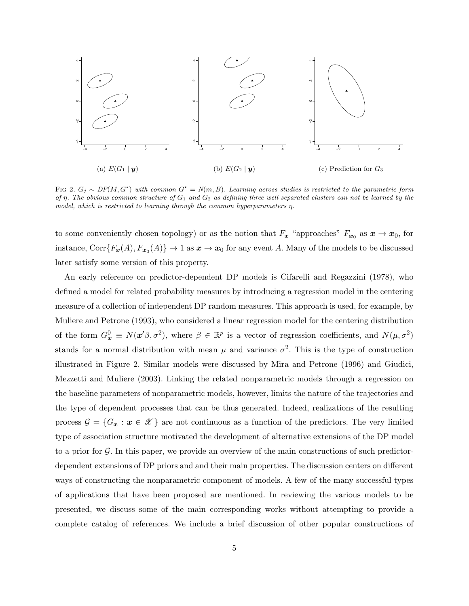

FIG 2.  $G_j \sim DP(M, G^*)$  with common  $G^* = N(m, B)$ . Learning across studies is restricted to the parametric form of  $\eta$ . The obvious common structure of  $G_1$  and  $G_2$  as defining three well separated clusters can not be learned by the model, which is restricted to learning through the common hyperparameters η.

to some conveniently chosen topology) or as the notion that  $F_x$  "approaches"  $F_{x_0}$  as  $x \to x_0$ , for instance,  $Corr{F_{x}(A), F_{x_0}(A)} \to 1$  as  $x \to x_0$  for any event A. Many of the models to be discussed later satisfy some version of this property.

An early reference on predictor-dependent DP models is Cifarelli and Regazzini (1978), who defined a model for related probability measures by introducing a regression model in the centering measure of a collection of independent DP random measures. This approach is used, for example, by Muliere and Petrone (1993), who considered a linear regression model for the centering distribution of the form  $G_x^0 \equiv N(x'\beta, \sigma^2)$ , where  $\beta \in \mathbb{R}^p$  is a vector of regression coefficients, and  $N(\mu, \sigma^2)$ stands for a normal distribution with mean  $\mu$  and variance  $\sigma^2$ . This is the type of construction illustrated in Figure 2. Similar models were discussed by Mira and Petrone (1996) and Giudici, Mezzetti and Muliere (2003). Linking the related nonparametric models through a regression on the baseline parameters of nonparametric models, however, limits the nature of the trajectories and the type of dependent processes that can be thus generated. Indeed, realizations of the resulting process  $\mathcal{G} = \{G_x : x \in \mathcal{X}\}\$ are not continuous as a function of the predictors. The very limited type of association structure motivated the development of alternative extensions of the DP model to a prior for G. In this paper, we provide an overview of the main constructions of such predictordependent extensions of DP priors and and their main properties. The discussion centers on different ways of constructing the nonparametric component of models. A few of the many successful types of applications that have been proposed are mentioned. In reviewing the various models to be presented, we discuss some of the main corresponding works without attempting to provide a complete catalog of references. We include a brief discussion of other popular constructions of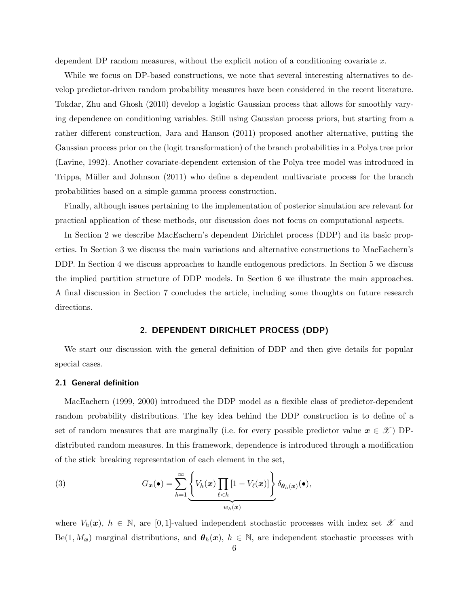dependent DP random measures, without the explicit notion of a conditioning covariate x.

While we focus on DP-based constructions, we note that several interesting alternatives to develop predictor-driven random probability measures have been considered in the recent literature. Tokdar, Zhu and Ghosh (2010) develop a logistic Gaussian process that allows for smoothly varying dependence on conditioning variables. Still using Gaussian process priors, but starting from a rather different construction, Jara and Hanson (2011) proposed another alternative, putting the Gaussian process prior on the (logit transformation) of the branch probabilities in a Polya tree prior (Lavine, 1992). Another covariate-dependent extension of the Polya tree model was introduced in Trippa, Müller and Johnson (2011) who define a dependent multivariate process for the branch probabilities based on a simple gamma process construction.

Finally, although issues pertaining to the implementation of posterior simulation are relevant for practical application of these methods, our discussion does not focus on computational aspects.

In Section 2 we describe MacEachern's dependent Dirichlet process (DDP) and its basic properties. In Section 3 we discuss the main variations and alternative constructions to MacEachern's DDP. In Section 4 we discuss approaches to handle endogenous predictors. In Section 5 we discuss the implied partition structure of DDP models. In Section 6 we illustrate the main approaches. A final discussion in Section 7 concludes the article, including some thoughts on future research directions.

## 2. DEPENDENT DIRICHLET PROCESS (DDP)

We start our discussion with the general definition of DDP and then give details for popular special cases.

#### 2.1 General definition

MacEachern (1999, 2000) introduced the DDP model as a flexible class of predictor-dependent random probability distributions. The key idea behind the DDP construction is to define of a set of random measures that are marginally (i.e. for every possible predictor value  $x \in \mathcal{X}$ ) DPdistributed random measures. In this framework, dependence is introduced through a modification of the stick–breaking representation of each element in the set,

(3) 
$$
G_{\boldsymbol{x}}(\bullet) = \sum_{h=1}^{\infty} \underbrace{\left\{ V_h(\boldsymbol{x}) \prod_{\ell < h} [1 - V_{\ell}(\boldsymbol{x})] \right\}}_{w_h(\boldsymbol{x})} \delta_{\boldsymbol{\theta}_h(\boldsymbol{x})}(\bullet),
$$

where  $V_h(\boldsymbol{x}), h \in \mathbb{N}$ , are [0,1]-valued independent stochastic processes with index set  $\mathscr{X}$  and  $\text{Be}(1, M_x)$  marginal distributions, and  $\theta_h(x)$ ,  $h \in \mathbb{N}$ , are independent stochastic processes with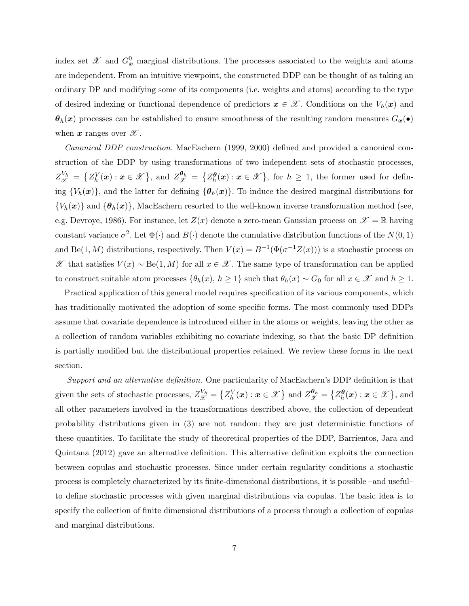index set  $\mathscr X$  and  $G^0_{\bm x}$  marginal distributions. The processes associated to the weights and atoms are independent. From an intuitive viewpoint, the constructed DDP can be thought of as taking an ordinary DP and modifying some of its components (i.e. weights and atoms) according to the type of desired indexing or functional dependence of predictors  $x \in \mathcal{X}$ . Conditions on the  $V_h(x)$  and  $\theta_h(x)$  processes can be established to ensure smoothness of the resulting random measures  $G_x(\bullet)$ when  $x$  ranges over  $\mathscr{X}$ .

Canonical DDP construction. MacEachern (1999, 2000) defined and provided a canonical construction of the DDP by using transformations of two independent sets of stochastic processes,  $Z_{\mathscr{X}}^{V_h} = \{Z_h^V(\boldsymbol{x}) : \boldsymbol{x} \in \mathscr{X}\},\$  and  $Z_{\mathscr{X}}^{\boldsymbol{\theta}_h} = \{Z_h^{\boldsymbol{\theta}}(\boldsymbol{x}) : \boldsymbol{x} \in \mathscr{X}\},\$  for  $h \geq 1$ , the former used for defining  ${V_h(x)}$ , and the latter for defining  ${\lbrace \theta_h(x) \rbrace}$ . To induce the desired marginal distributions for  ${V_h(\bm{x})}$  and  ${\lbrace \bm{\theta}_h(\bm{x}) \rbrace}$ , MacEachern resorted to the well-known inverse transformation method (see, e.g. Devroye, 1986). For instance, let  $Z(x)$  denote a zero-mean Gaussian process on  $\mathscr{X} = \mathbb{R}$  having constant variance  $\sigma^2$ . Let  $\Phi(\cdot)$  and  $B(\cdot)$  denote the cumulative distribution functions of the  $N(0, 1)$ and Be(1, M) distributions, respectively. Then  $V(x) = B^{-1}(\Phi(\sigma^{-1}Z(x)))$  is a stochastic process on  $\mathscr X$  that satisfies  $V(x) \sim \text{Be}(1, M)$  for all  $x \in \mathscr X$ . The same type of transformation can be applied to construct suitable atom processes  $\{\theta_h(x), h \ge 1\}$  such that  $\theta_h(x) \sim G_0$  for all  $x \in \mathcal{X}$  and  $h \ge 1$ .

Practical application of this general model requires specification of its various components, which has traditionally motivated the adoption of some specific forms. The most commonly used DDPs assume that covariate dependence is introduced either in the atoms or weights, leaving the other as a collection of random variables exhibiting no covariate indexing, so that the basic DP definition is partially modified but the distributional properties retained. We review these forms in the next section.

Support and an alternative definition. One particularity of MacEachern's DDP definition is that given the sets of stochastic processes,  $Z_{\mathscr{X}}^{V_h} = \left\{ Z_h^V(\boldsymbol{x}) : \boldsymbol{x} \in \mathscr{X} \right\}$  and  $Z_{\mathscr{X}}^{\boldsymbol{\theta}_h} = \left\{ Z_h^{\boldsymbol{\theta}}(\boldsymbol{x}) : \boldsymbol{x} \in \mathscr{X} \right\}$ , and all other parameters involved in the transformations described above, the collection of dependent probability distributions given in (3) are not random: they are just deterministic functions of these quantities. To facilitate the study of theoretical properties of the DDP, Barrientos, Jara and Quintana (2012) gave an alternative definition. This alternative definition exploits the connection between copulas and stochastic processes. Since under certain regularity conditions a stochastic process is completely characterized by its finite-dimensional distributions, it is possible –and useful– to define stochastic processes with given marginal distributions via copulas. The basic idea is to specify the collection of finite dimensional distributions of a process through a collection of copulas and marginal distributions.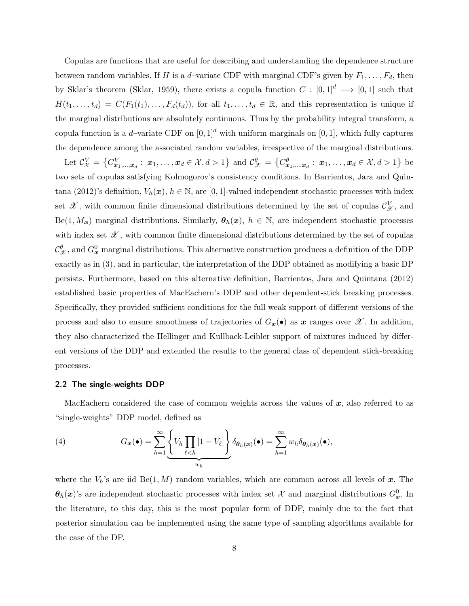Copulas are functions that are useful for describing and understanding the dependence structure between random variables. If H is a d-variate CDF with marginal CDF's given by  $F_1, \ldots, F_d$ , then by Sklar's theorem (Sklar, 1959), there exists a copula function  $C : [0,1]^d \longrightarrow [0,1]$  such that  $H(t_1,\ldots,t_d) = C(F_1(t_1),\ldots,F_d(t_d)),$  for all  $t_1,\ldots,t_d \in \mathbb{R}$ , and this representation is unique if the marginal distributions are absolutely continuous. Thus by the probability integral transform, a copula function is a d–variate CDF on  $[0, 1]^d$  with uniform marginals on  $[0, 1]$ , which fully captures the dependence among the associated random variables, irrespective of the marginal distributions.

Let  $\mathcal{C}_\mathcal{X}^V = \left\{ C_{\bm{x}_1,\dots,\bm{x}_d}^V: \ \bm{x}_1,\dots,\bm{x}_d \in \mathcal{X}, d > 1 \right\}$  and  $\mathcal{C}_{\mathcal{X}}^{\theta} = \left\{ C_{\bm{x}_1,\dots,\bm{x}_d}^{\theta}: \ \bm{x}_1,\dots,\bm{x}_d \in \mathcal{X}, d > 1 \right\}$  be two sets of copulas satisfying Kolmogorov's consistency conditions. In Barrientos, Jara and Quintana (2012)'s definition,  $V_h(\mathbf{x})$ ,  $h \in \mathbb{N}$ , are [0, 1]-valued independent stochastic processes with index set  $\mathscr{X}$ , with common finite dimensional distributions determined by the set of copulas  $\mathcal{C}_{\mathscr{X}}^V$ , and  $\text{Be}(1, M_x)$  marginal distributions. Similarly,  $\theta_h(x)$ ,  $h \in \mathbb{N}$ , are independent stochastic processes with index set  $\mathscr{X}$ , with common finite dimensional distributions determined by the set of copulas  $\mathcal{C}_{\mathcal{X}}^{\theta}$ , and  $G_{\mathbf{x}}^0$  marginal distributions. This alternative construction produces a definition of the DDP exactly as in (3), and in particular, the interpretation of the DDP obtained as modifying a basic DP persists. Furthermore, based on this alternative definition, Barrientos, Jara and Quintana (2012) established basic properties of MacEachern's DDP and other dependent-stick breaking processes. Specifically, they provided sufficient conditions for the full weak support of different versions of the process and also to ensure smoothness of trajectories of  $G_x(\bullet)$  as x ranges over X. In addition, they also characterized the Hellinger and Kullback-Leibler support of mixtures induced by different versions of the DDP and extended the results to the general class of dependent stick-breaking processes.

# 2.2 The single-weights DDP

MacEachern considered the case of common weights across the values of  $x$ , also referred to as "single-weights" DDP model, defined as

(4) 
$$
G_{\boldsymbol{x}}(\bullet) = \sum_{h=1}^{\infty} \underbrace{\left\{ V_h \prod_{\ell < h} [1 - V_{\ell}] \right\}}_{w_h} \delta_{\theta_h(\boldsymbol{x})}(\bullet) = \sum_{h=1}^{\infty} w_h \delta_{\theta_h(\boldsymbol{x})}(\bullet),
$$

where the  $V_h$ 's are iid Be(1, M) random variables, which are common across all levels of x. The  $\theta_h(x)$ 's are independent stochastic processes with index set X and marginal distributions  $G_x^0$ . In the literature, to this day, this is the most popular form of DDP, mainly due to the fact that posterior simulation can be implemented using the same type of sampling algorithms available for the case of the DP.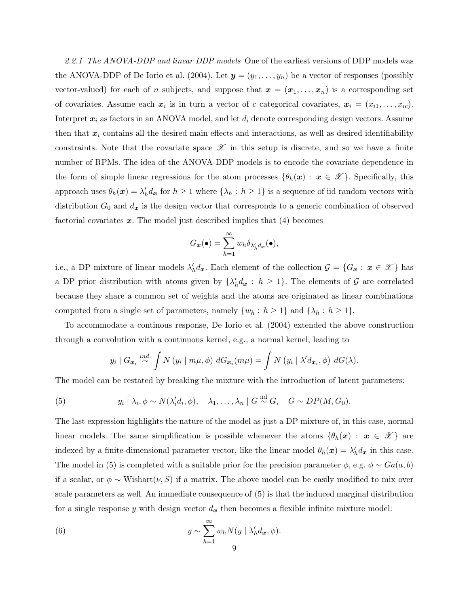2.2.1 The ANOVA-DDP and linear DDP models One of the earliest versions of DDP models was the ANOVA-DDP of De Iorio et al. (2004). Let  $y = (y_1, \ldots, y_n)$  be a vector of responses (possibly vector-valued) for each of n subjects, and suppose that  $\mathbf{x} = (\mathbf{x}_1, \ldots, \mathbf{x}_n)$  is a corresponding set of covariates. Assume each  $x_i$  is in turn a vector of c categorical covariates,  $x_i = (x_{i1}, \ldots, x_{ic})$ . Interpret  $x_i$  as factors in an ANOVA model, and let  $d_i$  denote corresponding design vectors. Assume then that  $x_i$  contains all the desired main effects and interactions, as well as desired identifiability constraints. Note that the covariate space  $\mathscr X$  in this setup is discrete, and so we have a finite number of RPMs. The idea of the ANOVA-DDP models is to encode the covariate dependence in the form of simple linear regressions for the atom processes  $\{\theta_h(x): x \in \mathcal{X}\}\.$  Specifically, this approach uses  $\theta_h(\bm{x}) = \lambda_h' d_{\bm{x}}$  for  $h \ge 1$  where  $\{\lambda_h : h \ge 1\}$  is a sequence of iid random vectors with distribution  $G_0$  and  $d_x$  is the design vector that corresponds to a generic combination of observed factorial covariates  $x$ . The model just described implies that  $(4)$  becomes

$$
G_{\boldsymbol{x}}(\bullet) = \sum_{h=1}^{\infty} w_h \delta_{\lambda'_h d_{\boldsymbol{x}}}(\bullet),
$$

i.e., a DP mixture of linear models  $\lambda'_h d_x$ . Each element of the collection  $\mathcal{G} = \{G_x : x \in \mathcal{X}\}\)$  has a DP prior distribution with atoms given by  $\{\lambda'_h d_x : h \geq 1\}$ . The elements of G are correlated because they share a common set of weights and the atoms are originated as linear combinations computed from a single set of parameters, namely  $\{w_h : h \ge 1\}$  and  $\{\lambda_h : h \ge 1\}$ .

To accommodate a continous response, De Iorio et al. (2004) extended the above construction through a convolution with a continuous kernel, e.g., a normal kernel, leading to

$$
y_i \mid G_{\boldsymbol{x}_i} \stackrel{ind.}{\sim} \int N(y_i \mid m\mu, \phi) \ dG_{\boldsymbol{x}_i}(m\mu) = \int N(y_i \mid \lambda' d_{\boldsymbol{x}_i}, \phi) \ dG(\lambda).
$$

The model can be restated by breaking the mixture with the introduction of latent parameters:

(5) 
$$
y_i | \lambda_i, \phi \sim N(\lambda'_i d_i, \phi), \quad \lambda_1, \ldots, \lambda_n | G \stackrel{\text{iid}}{\sim} G, \quad G \sim DP(M, G_0).
$$

The last expression highlights the nature of the model as just a DP mixture of, in this case, normal linear models. The same simplification is possible whenever the atoms  $\{\theta_h(x): x \in \mathcal{X}\}\$ are indexed by a finite-dimensional parameter vector, like the linear model  $\theta_h(\mathbf{x}) = \lambda'_h d_\mathbf{x}$  in this case. The model in (5) is completed with a suitable prior for the precision parameter  $\phi$ , e.g.  $\phi \sim Ga(a, b)$ if a scalar, or  $\phi \sim$  Wishart $(\nu, S)$  if a matrix. The above model can be easily modified to mix over scale parameters as well. An immediate consequence of (5) is that the induced marginal distribution for a single response y with design vector  $d_x$  then becomes a flexible infinite mixture model:

(6) 
$$
y \sim \sum_{h=1}^{\infty} w_h N(y \mid \lambda_h' d_x, \phi).
$$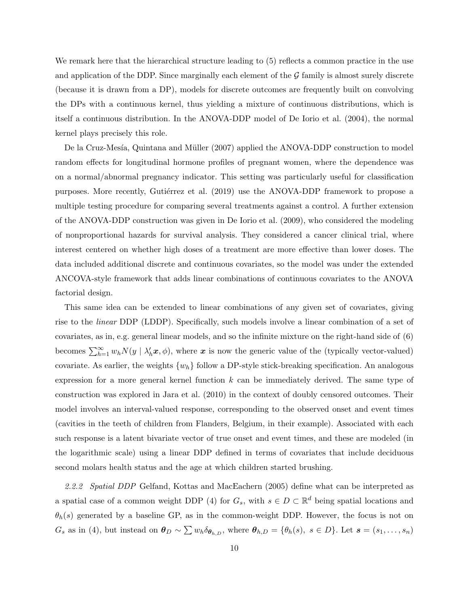We remark here that the hierarchical structure leading to  $(5)$  reflects a common practice in the use and application of the DDP. Since marginally each element of the  $G$  family is almost surely discrete (because it is drawn from a DP), models for discrete outcomes are frequently built on convolving the DPs with a continuous kernel, thus yielding a mixture of continuous distributions, which is itself a continuous distribution. In the ANOVA-DDP model of De Iorio et al. (2004), the normal kernel plays precisely this role.

De la Cruz-Mesía, Quintana and Müller (2007) applied the ANOVA-DDP construction to model random effects for longitudinal hormone profiles of pregnant women, where the dependence was on a normal/abnormal pregnancy indicator. This setting was particularly useful for classification purposes. More recently, Gutiérrez et al. (2019) use the ANOVA-DDP framework to propose a multiple testing procedure for comparing several treatments against a control. A further extension of the ANOVA-DDP construction was given in De Iorio et al. (2009), who considered the modeling of nonproportional hazards for survival analysis. They considered a cancer clinical trial, where interest centered on whether high doses of a treatment are more effective than lower doses. The data included additional discrete and continuous covariates, so the model was under the extended ANCOVA-style framework that adds linear combinations of continuous covariates to the ANOVA factorial design.

This same idea can be extended to linear combinations of any given set of covariates, giving rise to the linear DDP (LDDP). Specifically, such models involve a linear combination of a set of covariates, as in, e.g. general linear models, and so the infinite mixture on the right-hand side of (6) becomes  $\sum_{h=1}^{\infty} w_h N(y \mid \lambda'_h \boldsymbol{x}, \phi)$ , where  $\boldsymbol{x}$  is now the generic value of the (typically vector-valued) covariate. As earlier, the weights  $\{w_h\}$  follow a DP-style stick-breaking specification. An analogous expression for a more general kernel function  $k$  can be immediately derived. The same type of construction was explored in Jara et al. (2010) in the context of doubly censored outcomes. Their model involves an interval-valued response, corresponding to the observed onset and event times (cavities in the teeth of children from Flanders, Belgium, in their example). Associated with each such response is a latent bivariate vector of true onset and event times, and these are modeled (in the logarithmic scale) using a linear DDP defined in terms of covariates that include deciduous second molars health status and the age at which children started brushing.

2.2.2 Spatial DDP Gelfand, Kottas and MacEachern (2005) define what can be interpreted as a spatial case of a common weight DDP (4) for  $G_s$ , with  $s \in D \subset \mathbb{R}^d$  being spatial locations and  $\theta_h(s)$  generated by a baseline GP, as in the common-weight DDP. However, the focus is not on  $G_s$  as in (4), but instead on  $\boldsymbol{\theta}_D \sim \sum w_h \delta_{\boldsymbol{\theta}_{h,D}}$ , where  $\boldsymbol{\theta}_{h,D} = {\theta_h(s), s \in D}$ . Let  $\boldsymbol{s} = (s_1, \ldots, s_n)$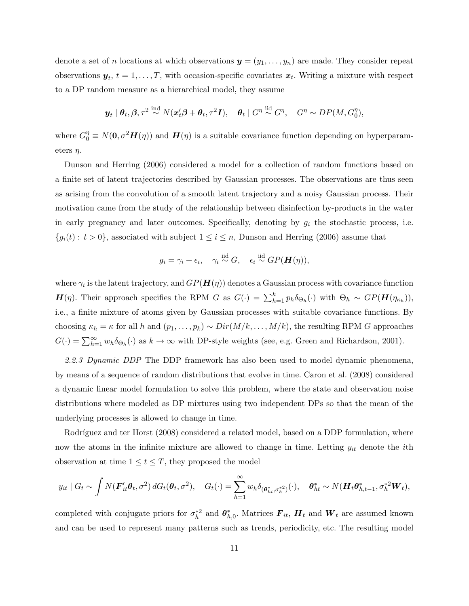denote a set of *n* locations at which observations  $y = (y_1, \ldots, y_n)$  are made. They consider repeat observations  $y_t$ ,  $t = 1, \ldots, T$ , with occasion-specific covariates  $x_t$ . Writing a mixture with respect to a DP random measure as a hierarchical model, they assume

$$
\boldsymbol{y}_t\mid \boldsymbol{\theta}_t, \boldsymbol{\beta}, \tau^2 \stackrel{\text{ind}}{\sim} N(\boldsymbol{x}_t'\boldsymbol{\beta} + \boldsymbol{\theta}_t, \tau^2\boldsymbol{I}), \quad \boldsymbol{\theta}_t\mid G^\eta \stackrel{\text{iid}}{\sim} G^\eta, \quad G^\eta \sim DP(M, G^\eta_0),
$$

where  $G_0^{\eta} \equiv N(\mathbf{0}, \sigma^2 \mathbf{H}(\eta))$  and  $\mathbf{H}(\eta)$  is a suitable covariance function depending on hyperparameters  $\eta$ .

Dunson and Herring (2006) considered a model for a collection of random functions based on a finite set of latent trajectories described by Gaussian processes. The observations are thus seen as arising from the convolution of a smooth latent trajectory and a noisy Gaussian process. Their motivation came from the study of the relationship between disinfection by-products in the water in early pregnancy and later outcomes. Specifically, denoting by  $g_i$  the stochastic process, i.e.  ${g_i(t): t > 0}$ , associated with subject  $1 \le i \le n$ , Dunson and Herring (2006) assume that

$$
g_i = \gamma_i + \epsilon_i, \quad \gamma_i \stackrel{\text{iid}}{\sim} G, \quad \epsilon_i \stackrel{\text{iid}}{\sim} GP(\boldsymbol{H}(\eta)),
$$

where  $\gamma_i$  is the latent trajectory, and  $GP(\boldsymbol{H}(\eta))$  denotes a Gaussian process with covariance function  $\mathbf{H}(\eta)$ . Their approach specifies the RPM G as  $G(\cdot) = \sum_{h=1}^{k} p_h \delta_{\Theta_h}(\cdot)$  with  $\Theta_h \sim GP(\mathbf{H}(\eta_{\kappa_h}))$ , i.e., a finite mixture of atoms given by Gaussian processes with suitable covariance functions. By choosing  $\kappa_h = \kappa$  for all h and  $(p_1, \ldots, p_k) \sim Dir(M/k, \ldots, M/k)$ , the resulting RPM G approaches  $G(\cdot) = \sum_{h=1}^{\infty} w_h \delta_{\Theta_h}(\cdot)$  as  $k \to \infty$  with DP-style weights (see, e.g. Green and Richardson, 2001).

2.2.3 Dynamic DDP The DDP framework has also been used to model dynamic phenomena, by means of a sequence of random distributions that evolve in time. Caron et al. (2008) considered a dynamic linear model formulation to solve this problem, where the state and observation noise distributions where modeled as DP mixtures using two independent DPs so that the mean of the underlying processes is allowed to change in time.

Rodríguez and ter Horst (2008) considered a related model, based on a DDP formulation, where now the atoms in the infinite mixture are allowed to change in time. Letting  $y_{it}$  denote the *i*th observation at time  $1 \le t \le T$ , they proposed the model

$$
y_{it} \mid G_t \sim \int N(\boldsymbol{F}_{it}' \boldsymbol{\theta}_t, \sigma^2) dG_t(\boldsymbol{\theta}_t, \sigma^2), \quad G_t(\cdot) = \sum_{h=1}^{\infty} w_h \delta_{(\boldsymbol{\theta}_{ht}^*, \sigma_h^{*2})}(\cdot), \quad \boldsymbol{\theta}_{ht}^* \sim N(\boldsymbol{H}_t \boldsymbol{\theta}_{h,t-1}^*, \sigma_h^{*2} \boldsymbol{W}_t),
$$

completed with conjugate priors for  $\sigma_h^{*2}$  and  $\theta_{h,0}^*$ . Matrices  $F_{it}$ ,  $H_t$  and  $W_t$  are assumed known and can be used to represent many patterns such as trends, periodicity, etc. The resulting model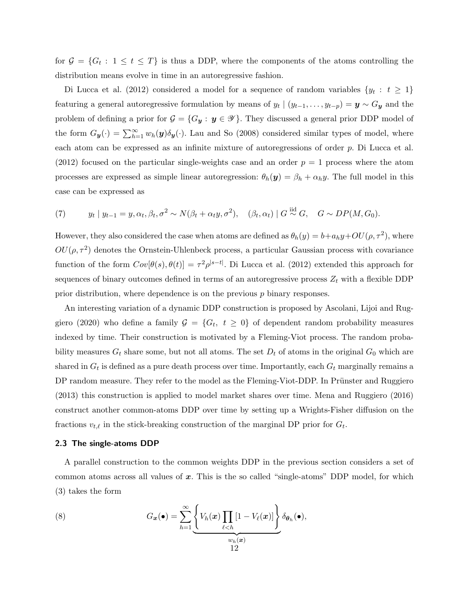for  $\mathcal{G} = \{G_t : 1 \le t \le T\}$  is thus a DDP, where the components of the atoms controlling the distribution means evolve in time in an autoregressive fashion.

Di Lucca et al. (2012) considered a model for a sequence of random variables  $\{y_t : t \geq 1\}$ featuring a general autoregressive formulation by means of  $y_t | (y_{t-1}, \ldots, y_{t-p}) = y \sim G_y$  and the problem of defining a prior for  $\mathcal{G} = \{G_{\mathbf{y}} : \mathbf{y} \in \mathcal{Y}\}\$ . They discussed a general prior DDP model of the form  $G_{\mathbf{y}}(\cdot) = \sum_{h=1}^{\infty} w_h(\mathbf{y}) \delta_{\mathbf{y}}(\cdot)$ . Lau and So (2008) considered similar types of model, where each atom can be expressed as an infinite mixture of autoregressions of order p. Di Lucca et al. (2012) focused on the particular single-weights case and an order  $p = 1$  process where the atom processes are expressed as simple linear autoregression:  $\theta_h(\mathbf{y}) = \beta_h + \alpha_h y$ . The full model in this case can be expressed as

(7) 
$$
y_t \mid y_{t-1} = y, \alpha_t, \beta_t, \sigma^2 \sim N(\beta_t + \alpha_t y, \sigma^2), \quad (\beta_t, \alpha_t) \mid G \stackrel{\text{iid}}{\sim} G, \quad G \sim DP(M, G_0).
$$

However, they also considered the case when atoms are defined as  $\theta_h(y) = b + a_h y + OU(\rho, \tau^2)$ , where  $OU(\rho, \tau^2)$  denotes the Ornstein-Uhlenbeck process, a particular Gaussian process with covariance function of the form  $Cov[\theta(s), \theta(t)] = \tau^2 \rho^{|s-t|}$ . Di Lucca et al. (2012) extended this approach for sequences of binary outcomes defined in terms of an autoregressive process  $Z_t$  with a flexible DDP prior distribution, where dependence is on the previous p binary responses.

An interesting variation of a dynamic DDP construction is proposed by Ascolani, Lijoi and Ruggiero (2020) who define a family  $G = \{G_t, t \geq 0\}$  of dependent random probability measures indexed by time. Their construction is motivated by a Fleming-Viot process. The random probability measures  $G_t$  share some, but not all atoms. The set  $D_t$  of atoms in the original  $G_0$  which are shared in  $G_t$  is defined as a pure death process over time. Importantly, each  $G_t$  marginally remains a DP random measure. They refer to the model as the Fleming-Viot-DDP. In Prünster and Ruggiero (2013) this construction is applied to model market shares over time. Mena and Ruggiero (2016) construct another common-atoms DDP over time by setting up a Wrights-Fisher diffusion on the fractions  $v_{t,\ell}$  in the stick-breaking construction of the marginal DP prior for  $G_t$ .

#### 2.3 The single-atoms DDP

A parallel construction to the common weights DDP in the previous section considers a set of common atoms across all values of  $x$ . This is the so called "single-atoms" DDP model, for which (3) takes the form

(8) 
$$
G_{\boldsymbol{x}}(\bullet) = \sum_{h=1}^{\infty} \underbrace{\left\{ V_h(\boldsymbol{x}) \prod_{\ell < h} [1 - V_{\ell}(\boldsymbol{x})] \right\}}_{\substack{w_h(\boldsymbol{x}) \\ 12}} \delta_{\boldsymbol{\theta}_h}(\bullet),
$$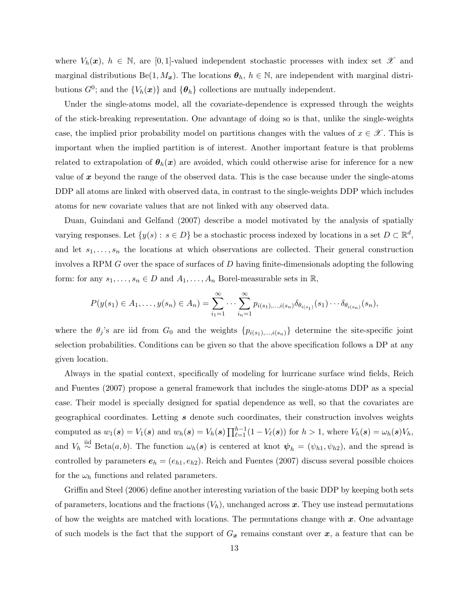where  $V_h(\boldsymbol{x}), h \in \mathbb{N}$ , are [0,1]-valued independent stochastic processes with index set  $\mathscr{X}$  and marginal distributions Be(1,  $M_x$ ). The locations  $\theta_h$ ,  $h \in \mathbb{N}$ , are independent with marginal distributions  $G^0$ ; and the  ${V_h(\boldsymbol{x})}$  and  ${\theta_h}$  collections are mutually independent.

Under the single-atoms model, all the covariate-dependence is expressed through the weights of the stick-breaking representation. One advantage of doing so is that, unlike the single-weights case, the implied prior probability model on partitions changes with the values of  $x \in \mathcal{X}$ . This is important when the implied partition is of interest. Another important feature is that problems related to extrapolation of  $\theta_h(x)$  are avoided, which could otherwise arise for inference for a new value of  $x$  beyond the range of the observed data. This is the case because under the single-atoms DDP all atoms are linked with observed data, in contrast to the single-weights DDP which includes atoms for new covariate values that are not linked with any observed data.

Duan, Guindani and Gelfand (2007) describe a model motivated by the analysis of spatially varying responses. Let  $\{y(s): s \in D\}$  be a stochastic process indexed by locations in a set  $D \subset \mathbb{R}^d$ , and let  $s_1, \ldots, s_n$  the locations at which observations are collected. Their general construction involves a RPM  $G$  over the space of surfaces of  $D$  having finite-dimensionals adopting the following form: for any  $s_1, \ldots, s_n \in D$  and  $A_1, \ldots, A_n$  Borel-measurable sets in  $\mathbb{R}$ ,

$$
P(y(s_1) \in A_1, \ldots, y(s_n) \in A_n) = \sum_{i_1=1}^{\infty} \cdots \sum_{i_n=1}^{\infty} p_{i(s_1), \ldots, i(s_n)} \delta_{\theta_{i(s_1)}}(s_1) \cdots \delta_{\theta_{i(s_n)}}(s_n),
$$

where the  $\theta_j$ 's are iid from  $G_0$  and the weights  $\{p_{i(s_1),...,i(s_n)}\}$  determine the site-specific joint selection probabilities. Conditions can be given so that the above specification follows a DP at any given location.

Always in the spatial context, specifically of modeling for hurricane surface wind fields, Reich and Fuentes (2007) propose a general framework that includes the single-atoms DDP as a special case. Their model is specially designed for spatial dependence as well, so that the covariates are geographical coordinates. Letting s denote such coordinates, their construction involves weights computed as  $w_1(s) = V_1(s)$  and  $w_h(s) = V_h(s) \prod_{\ell=1}^{h-1} (1 - V_\ell(s))$  for  $h > 1$ , where  $V_h(s) = \omega_h(s) V_h$ , and  $V_h \stackrel{\text{iid}}{\sim} \text{Beta}(a, b)$ . The function  $\omega_h(s)$  is centered at knot  $\psi_h = (\psi_{h1}, \psi_{h2})$ , and the spread is controlled by parameters  $e_h = (e_{h1}, e_{h2})$ . Reich and Fuentes (2007) discuss several possible choices for the  $\omega_h$  functions and related parameters.

Griffin and Steel (2006) define another interesting variation of the basic DDP by keeping both sets of parameters, locations and the fractions  $(V_h)$ , unchanged across x. They use instead permutations of how the weights are matched with locations. The permutations change with  $x$ . One advantage of such models is the fact that the support of  $G_x$  remains constant over  $x$ , a feature that can be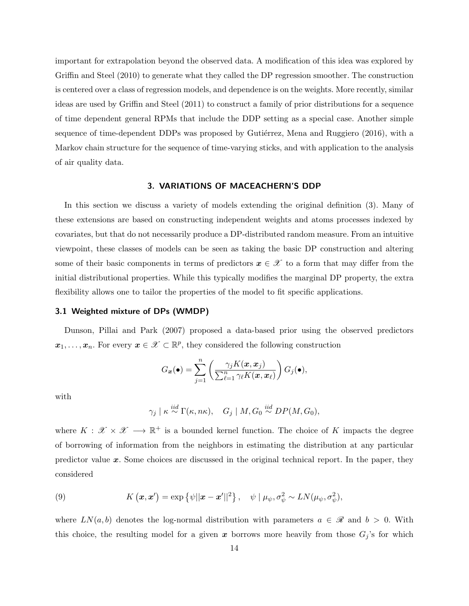important for extrapolation beyond the observed data. A modification of this idea was explored by Griffin and Steel (2010) to generate what they called the DP regression smoother. The construction is centered over a class of regression models, and dependence is on the weights. More recently, similar ideas are used by Griffin and Steel (2011) to construct a family of prior distributions for a sequence of time dependent general RPMs that include the DDP setting as a special case. Another simple sequence of time-dependent DDPs was proposed by Gutiérrez, Mena and Ruggiero (2016), with a Markov chain structure for the sequence of time-varying sticks, and with application to the analysis of air quality data.

#### 3. VARIATIONS OF MACEACHERN'S DDP

In this section we discuss a variety of models extending the original definition (3). Many of these extensions are based on constructing independent weights and atoms processes indexed by covariates, but that do not necessarily produce a DP-distributed random measure. From an intuitive viewpoint, these classes of models can be seen as taking the basic DP construction and altering some of their basic components in terms of predictors  $x \in \mathcal{X}$  to a form that may differ from the initial distributional properties. While this typically modifies the marginal DP property, the extra flexibility allows one to tailor the properties of the model to fit specific applications.

# 3.1 Weighted mixture of DPs (WMDP)

Dunson, Pillai and Park (2007) proposed a data-based prior using the observed predictors  $x_1, \ldots, x_n$ . For every  $x \in \mathcal{X} \subset \mathbb{R}^p$ , they considered the following construction

$$
G_{\boldsymbol{x}}(\bullet) = \sum_{j=1}^n \left( \frac{\gamma_j K(\boldsymbol{x}, \boldsymbol{x}_j)}{\sum_{\ell=1}^n \gamma_\ell K(\boldsymbol{x}, \boldsymbol{x}_\ell)} \right) G_j(\bullet),
$$

with

 $\gamma_j\mid \kappa\stackrel{iid}{\sim}\Gamma(\kappa,n\kappa),\quad G_j\mid M,G_0\stackrel{iid}{\sim}DP(M,G_0),$ 

where  $K: \mathcal{X} \times \mathcal{X} \longrightarrow \mathbb{R}^+$  is a bounded kernel function. The choice of K impacts the degree of borrowing of information from the neighbors in estimating the distribution at any particular predictor value  $x$ . Some choices are discussed in the original technical report. In the paper, they considered

(9) 
$$
K(\boldsymbol{x}, \boldsymbol{x}') = \exp\left\{\psi||\boldsymbol{x} - \boldsymbol{x}'||^2\right\}, \quad \psi \mid \mu_{\psi}, \sigma_{\psi}^2 \sim LN(\mu_{\psi}, \sigma_{\psi}^2),
$$

where  $LN(a, b)$  denotes the log-normal distribution with parameters  $a \in \mathcal{R}$  and  $b > 0$ . With this choice, the resulting model for a given x borrows more heavily from those  $G_j$ 's for which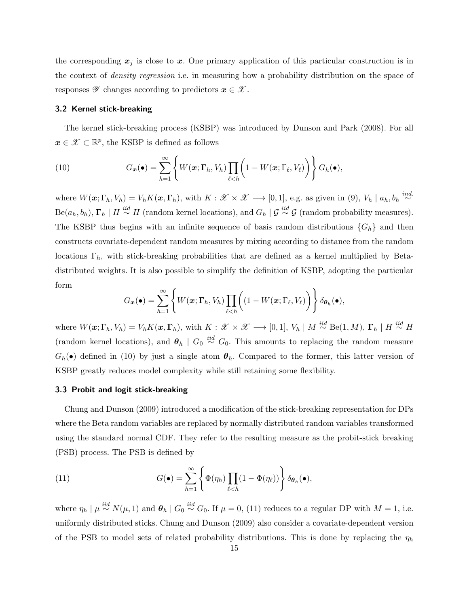the corresponding  $x_j$  is close to x. One primary application of this particular construction is in the context of density regression i.e. in measuring how a probability distribution on the space of responses  $\mathscr Y$  changes according to predictors  $x \in \mathscr X$ .

### 3.2 Kernel stick-breaking

The kernel stick-breaking process (KSBP) was introduced by Dunson and Park (2008). For all  $x \in \mathcal{X} \subset \mathbb{R}^p$ , the KSBP is defined as follows

(10) 
$$
G_{\boldsymbol{x}}(\bullet) = \sum_{h=1}^{\infty} \left\{ W(\boldsymbol{x}; \boldsymbol{\Gamma}_h, V_h) \prod_{\ell < h} \left( 1 - W(\boldsymbol{x}; \boldsymbol{\Gamma}_\ell, V_\ell) \right) \right\} G_h(\bullet),
$$

where  $W(\boldsymbol{x};\Gamma_h,V_h)=V_hK(\boldsymbol{x},\boldsymbol{\Gamma}_h)$ , with  $K:\mathscr{X}\times\mathscr{X}\longrightarrow[0,1]$ , e.g. as given in (9),  $V_h\mid a_h, b_h \stackrel{ind.}{\sim}$  $\text{Be}(a_h, b_h)$ ,  $\Gamma_h \mid H \stackrel{iid}{\sim} H$  (random kernel locations), and  $G_h \mid \mathcal{G} \stackrel{iid}{\sim} \mathcal{G}$  (random probability measures). The KSBP thus begins with an infinite sequence of basis random distributions  ${G_h}$  and then constructs covariate-dependent random measures by mixing according to distance from the random locations  $\Gamma_h$ , with stick-breaking probabilities that are defined as a kernel multiplied by Betadistributed weights. It is also possible to simplify the definition of KSBP, adopting the particular form

$$
G_{\boldsymbol{x}}(\bullet) = \sum_{h=1}^{\infty} \left\{ W(\boldsymbol{x}; \boldsymbol{\Gamma}_h, V_h) \prod_{\ell < h} \left( (1 - W(\boldsymbol{x}; \boldsymbol{\Gamma}_\ell, V_\ell) \right) \right\} \delta_{\boldsymbol{\theta}_h}(\bullet),
$$

where  $W(\boldsymbol{x};\Gamma_h,V_h) = V_h K(\boldsymbol{x},\boldsymbol{\Gamma}_h)$ , with  $K: \mathscr{X} \times \mathscr{X} \longrightarrow [0,1], V_h \mid M \stackrel{iid}{\sim} \text{Be}(1,M)$ ,  $\boldsymbol{\Gamma}_h \mid H \stackrel{iid}{\sim} H$ (random kernel locations), and  $\theta_h \mid G_0 \stackrel{iid}{\sim} G_0$ . This amounts to replacing the random measure  $G_h(\bullet)$  defined in (10) by just a single atom  $\theta_h$ . Compared to the former, this latter version of KSBP greatly reduces model complexity while still retaining some flexibility.

#### 3.3 Probit and logit stick-breaking

Chung and Dunson (2009) introduced a modification of the stick-breaking representation for DPs where the Beta random variables are replaced by normally distributed random variables transformed using the standard normal CDF. They refer to the resulting measure as the probit-stick breaking (PSB) process. The PSB is defined by

(11) 
$$
G(\bullet) = \sum_{h=1}^{\infty} \left\{ \Phi(\eta_h) \prod_{\ell < h} (1 - \Phi(\eta_\ell)) \right\} \delta_{\theta_h}(\bullet),
$$

where  $\eta_h \mid \mu \stackrel{iid}{\sim} N(\mu, 1)$  and  $\boldsymbol{\theta}_h \mid G_0 \stackrel{iid}{\sim} G_0$ . If  $\mu = 0$ , (11) reduces to a regular DP with  $M = 1$ , i.e. uniformly distributed sticks. Chung and Dunson (2009) also consider a covariate-dependent version of the PSB to model sets of related probability distributions. This is done by replacing the  $\eta_h$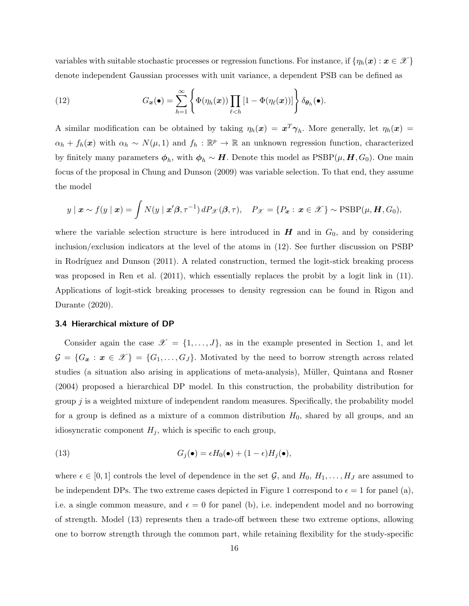variables with suitable stochastic processes or regression functions. For instance, if  $\{\eta_h(\bm{x}) : \bm{x} \in \mathcal{X}\}\$ denote independent Gaussian processes with unit variance, a dependent PSB can be defined as

(12) 
$$
G_{\boldsymbol{x}}(\bullet) = \sum_{h=1}^{\infty} \left\{ \Phi(\eta_h(\boldsymbol{x})) \prod_{\ell < h} \left[ 1 - \Phi(\eta_\ell(\boldsymbol{x})) \right] \right\} \delta_{\boldsymbol{\theta}_h}(\bullet).
$$

A similar modification can be obtained by taking  $\eta_h(x) = x^T \gamma_h$ . More generally, let  $\eta_h(x) =$  $\alpha_h + f_h(x)$  with  $\alpha_h \sim N(\mu, 1)$  and  $f_h : \mathbb{R}^p \to \mathbb{R}$  an unknown regression function, characterized by finitely many parameters  $\phi_h$ , with  $\phi_h \sim H$ . Denote this model as  $\mathrm{PSBP}(\mu, H, G_0)$ . One main focus of the proposal in Chung and Dunson (2009) was variable selection. To that end, they assume the model

$$
y \mid \boldsymbol{x} \sim f(y \mid \boldsymbol{x}) = \int N(y \mid \boldsymbol{x}'\boldsymbol{\beta}, \tau^{-1}) \, dP_{\mathscr{X}}(\boldsymbol{\beta}, \tau), \quad P_{\mathscr{X}} = \{P_{\boldsymbol{x}} : \boldsymbol{x} \in \mathscr{X}\} \sim \text{PSBP}(\mu, \boldsymbol{H}, G_0),
$$

where the variable selection structure is here introduced in  $H$  and in  $G_0$ , and by considering inclusion/exclusion indicators at the level of the atoms in (12). See further discussion on PSBP in Rodríguez and Dunson (2011). A related construction, termed the logit-stick breaking process was proposed in Ren et al. (2011), which essentially replaces the probit by a logit link in (11). Applications of logit-stick breaking processes to density regression can be found in Rigon and Durante (2020).

#### 3.4 Hierarchical mixture of DP

Consider again the case  $\mathscr{X} = \{1, \ldots, J\}$ , as in the example presented in Section 1, and let  $\mathcal{G} = \{G_x : x \in \mathcal{X}\}\ = \{G_1, \ldots, G_J\}.$  Motivated by the need to borrow strength across related studies (a situation also arising in applications of meta-analysis), Müller, Quintana and Rosner (2004) proposed a hierarchical DP model. In this construction, the probability distribution for group  $j$  is a weighted mixture of independent random measures. Specifically, the probability model for a group is defined as a mixture of a common distribution  $H_0$ , shared by all groups, and an idiosyncratic component  $H_j$ , which is specific to each group,

(13) 
$$
G_j(\bullet) = \epsilon H_0(\bullet) + (1 - \epsilon)H_j(\bullet),
$$

where  $\epsilon \in [0,1]$  controls the level of dependence in the set  $\mathcal{G}$ , and  $H_0, H_1, \ldots, H_J$  are assumed to be independent DPs. The two extreme cases depicted in Figure 1 correspond to  $\epsilon = 1$  for panel (a), i.e. a single common measure, and  $\epsilon = 0$  for panel (b), i.e. independent model and no borrowing of strength. Model (13) represents then a trade-off between these two extreme options, allowing one to borrow strength through the common part, while retaining flexibility for the study-specific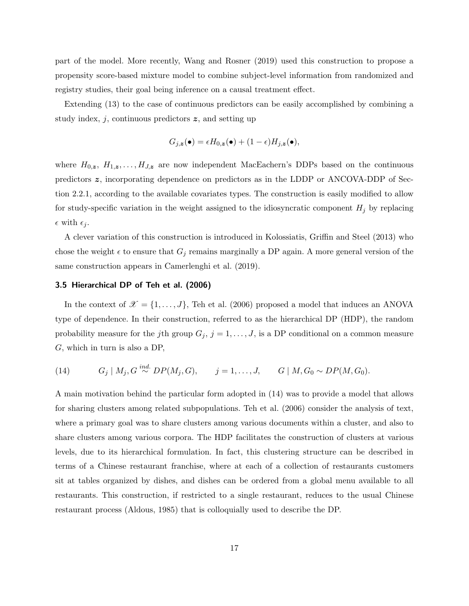part of the model. More recently, Wang and Rosner (2019) used this construction to propose a propensity score-based mixture model to combine subject-level information from randomized and registry studies, their goal being inference on a causal treatment effect.

Extending (13) to the case of continuous predictors can be easily accomplished by combining a study index,  $j$ , continuous predictors  $z$ , and setting up

$$
G_{j,z}(\bullet) = \epsilon H_{0,z}(\bullet) + (1 - \epsilon)H_{j,z}(\bullet),
$$

where  $H_{0,z}, H_{1,z}, \ldots, H_{J,z}$  are now independent MacEachern's DDPs based on the continuous predictors z, incorporating dependence on predictors as in the LDDP or ANCOVA-DDP of Section 2.2.1, according to the available covariates types. The construction is easily modified to allow for study-specific variation in the weight assigned to the idiosyncratic component  $H_j$  by replacing  $\epsilon$  with  $\epsilon_j$ .

A clever variation of this construction is introduced in Kolossiatis, Griffin and Steel (2013) who chose the weight  $\epsilon$  to ensure that  $G_j$  remains marginally a DP again. A more general version of the same construction appears in Camerlenghi et al. (2019).

#### 3.5 Hierarchical DP of Teh et al. (2006)

In the context of  $\mathcal{X} = \{1, \ldots, J\}$ , Teh et al. (2006) proposed a model that induces an ANOVA type of dependence. In their construction, referred to as the hierarchical DP (HDP), the random probability measure for the jth group  $G_j$ ,  $j = 1, \ldots, J$ , is a DP conditional on a common measure G, which in turn is also a DP,

(14) 
$$
G_j \mid M_j, G \stackrel{ind.}{\sim} DP(M_j, G), \qquad j = 1, \ldots, J, \qquad G \mid M, G_0 \sim DP(M, G_0).
$$

A main motivation behind the particular form adopted in (14) was to provide a model that allows for sharing clusters among related subpopulations. Teh et al. (2006) consider the analysis of text, where a primary goal was to share clusters among various documents within a cluster, and also to share clusters among various corpora. The HDP facilitates the construction of clusters at various levels, due to its hierarchical formulation. In fact, this clustering structure can be described in terms of a Chinese restaurant franchise, where at each of a collection of restaurants customers sit at tables organized by dishes, and dishes can be ordered from a global menu available to all restaurants. This construction, if restricted to a single restaurant, reduces to the usual Chinese restaurant process (Aldous, 1985) that is colloquially used to describe the DP.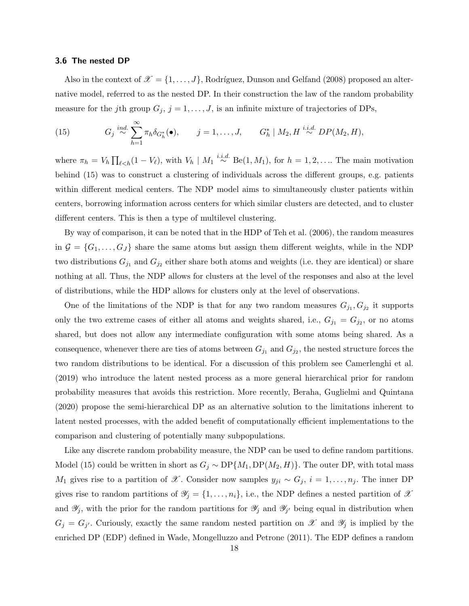#### 3.6 The nested DP

Also in the context of  $\mathcal{X} = \{1, \ldots, J\}$ , Rodríguez, Dunson and Gelfand (2008) proposed an alternative model, referred to as the nested DP. In their construction the law of the random probability measure for the jth group  $G_j$ ,  $j = 1, \ldots, J$ , is an infinite mixture of trajectories of DPs,

(15) 
$$
G_j \stackrel{ind.}{\sim} \sum_{h=1}^{\infty} \pi_h \delta_{G_h^*}(\bullet), \qquad j=1,\ldots,J, \qquad G_h^* \mid M_2, H \stackrel{i.i.d.}{\sim} DP(M_2,H),
$$

where  $\pi_h = V_h \prod_{\ell \leq h} (1 - V_{\ell}),$  with  $V_h | M_1 \stackrel{i.i.d.}{\sim} \text{Be}(1, M_1),$  for  $h = 1, 2, \ldots$ . The main motivation behind (15) was to construct a clustering of individuals across the different groups, e.g. patients within different medical centers. The NDP model aims to simultaneously cluster patients within centers, borrowing information across centers for which similar clusters are detected, and to cluster different centers. This is then a type of multilevel clustering.

By way of comparison, it can be noted that in the HDP of Teh et al. (2006), the random measures in  $G = \{G_1, \ldots, G_J\}$  share the same atoms but assign them different weights, while in the NDP two distributions  $G_{j_1}$  and  $G_{j_2}$  either share both atoms and weights (i.e. they are identical) or share nothing at all. Thus, the NDP allows for clusters at the level of the responses and also at the level of distributions, while the HDP allows for clusters only at the level of observations.

One of the limitations of the NDP is that for any two random measures  $G_{j_1}, G_{j_2}$  it supports only the two extreme cases of either all atoms and weights shared, i.e.,  $G_{j_1} = G_{j_2}$ , or no atoms shared, but does not allow any intermediate configuration with some atoms being shared. As a consequence, whenever there are ties of atoms between  $G_{j_1}$  and  $G_{j_2}$ , the nested structure forces the two random distributions to be identical. For a discussion of this problem see Camerlenghi et al. (2019) who introduce the latent nested process as a more general hierarchical prior for random probability measures that avoids this restriction. More recently, Beraha, Guglielmi and Quintana (2020) propose the semi-hierarchical DP as an alternative solution to the limitations inherent to latent nested processes, with the added benefit of computationally efficient implementations to the comparison and clustering of potentially many subpopulations.

Like any discrete random probability measure, the NDP can be used to define random partitions. Model (15) could be written in short as  $G_j \sim DP\{M_1, DP(M_2, H)\}$ . The outer DP, with total mass M<sub>1</sub> gives rise to a partition of X. Consider now samples  $y_{ji} \sim G_j$ ,  $i = 1, ..., n_j$ . The inner DP gives rise to random partitions of  $\mathscr{Y}_j = \{1, \ldots, n_i\}$ , i.e., the NDP defines a nested partition of  $\mathscr{X}$ and  $\mathscr{Y}_j$ , with the prior for the random partitions for  $\mathscr{Y}_j$  and  $\mathscr{Y}_{j'}$  being equal in distribution when  $G_j = G_{j'}$ . Curiously, exactly the same random nested partition on  $\mathscr X$  and  $\mathscr Y_j$  is implied by the enriched DP (EDP) defined in Wade, Mongelluzzo and Petrone (2011). The EDP defines a random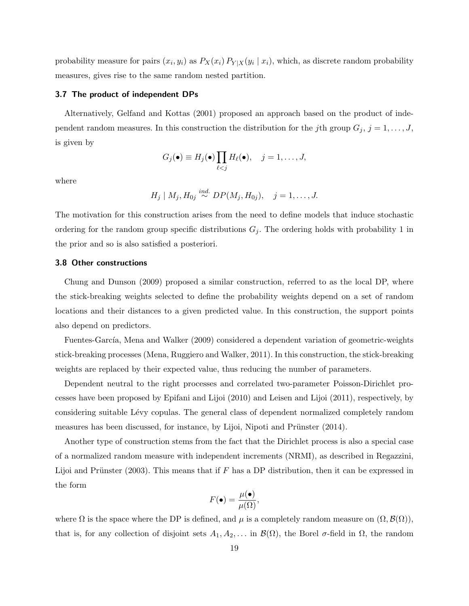probability measure for pairs  $(x_i, y_i)$  as  $P_X(x_i) P_{Y|X}(y_i | x_i)$ , which, as discrete random probability measures, gives rise to the same random nested partition.

#### 3.7 The product of independent DPs

Alternatively, Gelfand and Kottas (2001) proposed an approach based on the product of independent random measures. In this construction the distribution for the jth group  $G_j$ ,  $j = 1, \ldots, J$ , is given by

$$
G_j(\bullet) \equiv H_j(\bullet) \prod_{\ell < j} H_\ell(\bullet), \quad j = 1, \ldots, J,
$$

where

$$
H_j | M_j, H_{0j} \stackrel{ind.}{\sim} DP(M_j, H_{0j}), \quad j = 1, ..., J.
$$

The motivation for this construction arises from the need to define models that induce stochastic ordering for the random group specific distributions  $G_j$ . The ordering holds with probability 1 in the prior and so is also satisfied a posteriori.

#### 3.8 Other constructions

Chung and Dunson (2009) proposed a similar construction, referred to as the local DP, where the stick-breaking weights selected to define the probability weights depend on a set of random locations and their distances to a given predicted value. In this construction, the support points also depend on predictors.

Fuentes-García, Mena and Walker (2009) considered a dependent variation of geometric-weights stick-breaking processes (Mena, Ruggiero and Walker, 2011). In this construction, the stick-breaking weights are replaced by their expected value, thus reducing the number of parameters.

Dependent neutral to the right processes and correlated two-parameter Poisson-Dirichlet processes have been proposed by Epifani and Lijoi (2010) and Leisen and Lijoi (2011), respectively, by considering suitable L´evy copulas. The general class of dependent normalized completely random measures has been discussed, for instance, by Lijoi, Nipoti and Prünster (2014).

Another type of construction stems from the fact that the Dirichlet process is also a special case of a normalized random measure with independent increments (NRMI), as described in Regazzini, Lijoi and Prünster (2003). This means that if F has a DP distribution, then it can be expressed in the form

$$
F(\bullet) = \frac{\mu(\bullet)}{\mu(\Omega)},
$$

where  $\Omega$  is the space where the DP is defined, and  $\mu$  is a completely random measure on  $(\Omega, \mathcal{B}(\Omega))$ , that is, for any collection of disjoint sets  $A_1, A_2, \ldots$  in  $\mathcal{B}(\Omega)$ , the Borel  $\sigma$ -field in  $\Omega$ , the random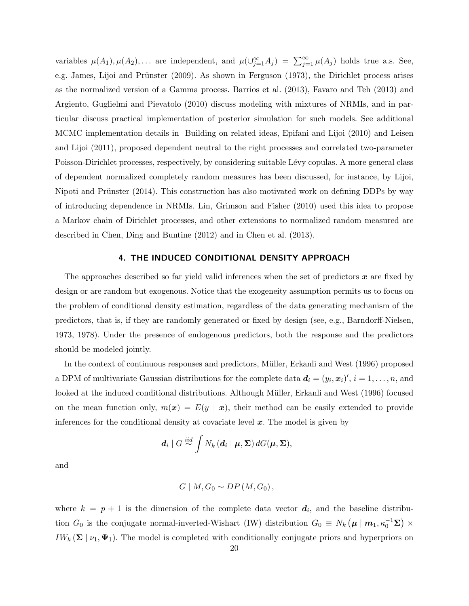variables  $\mu(A_1), \mu(A_2), \ldots$  are independent, and  $\mu(\cup_{j=1}^{\infty} A_j) = \sum_{j=1}^{\infty} \mu(A_j)$  holds true a.s. See, e.g. James, Lijoi and Prünster (2009). As shown in Ferguson (1973), the Dirichlet process arises as the normalized version of a Gamma process. Barrios et al. (2013), Favaro and Teh (2013) and Argiento, Guglielmi and Pievatolo (2010) discuss modeling with mixtures of NRMIs, and in particular discuss practical implementation of posterior simulation for such models. See additional MCMC implementation details in Building on related ideas, Epifani and Lijoi (2010) and Leisen and Lijoi (2011), proposed dependent neutral to the right processes and correlated two-parameter Poisson-Dirichlet processes, respectively, by considering suitable Lévy copulas. A more general class of dependent normalized completely random measures has been discussed, for instance, by Lijoi, Nipoti and Prünster (2014). This construction has also motivated work on defining DDPs by way of introducing dependence in NRMIs. Lin, Grimson and Fisher (2010) used this idea to propose a Markov chain of Dirichlet processes, and other extensions to normalized random measured are described in Chen, Ding and Buntine (2012) and in Chen et al. (2013).

# 4. THE INDUCED CONDITIONAL DENSITY APPROACH

The approaches described so far yield valid inferences when the set of predictors  $x$  are fixed by design or are random but exogenous. Notice that the exogeneity assumption permits us to focus on the problem of conditional density estimation, regardless of the data generating mechanism of the predictors, that is, if they are randomly generated or fixed by design (see, e.g., Barndorff-Nielsen, 1973, 1978). Under the presence of endogenous predictors, both the response and the predictors should be modeled jointly.

In the context of continuous responses and predictors, Müller, Erkanli and West (1996) proposed a DPM of multivariate Gaussian distributions for the complete data  $d_i = (y_i, x_i)'$ ,  $i = 1, \ldots, n$ , and looked at the induced conditional distributions. Although Müller, Erkanli and West (1996) focused on the mean function only,  $m(x) = E(y | x)$ , their method can be easily extended to provide inferences for the conditional density at covariate level  $x$ . The model is given by

$$
\boldsymbol{d}_{i} \mid G \stackrel{iid}{\sim} \int N_{k} \left(\boldsymbol{d}_{i} \mid \boldsymbol{\mu}, \boldsymbol{\Sigma}\right) dG(\boldsymbol{\mu}, \boldsymbol{\Sigma}),
$$

and

$$
G \mid M, G_0 \sim DP(M, G_0),
$$

where  $k = p + 1$  is the dimension of the complete data vector  $d_i$ , and the baseline distribution  $G_0$  is the conjugate normal-inverted-Wishart (IW) distribution  $G_0 \equiv N_k (\mu | m_1, \kappa_0^{-1} \Sigma) \times$ IW<sub>k</sub> ( $\Sigma | \nu_1, \Psi_1$ ). The model is completed with conditionally conjugate priors and hyperpriors on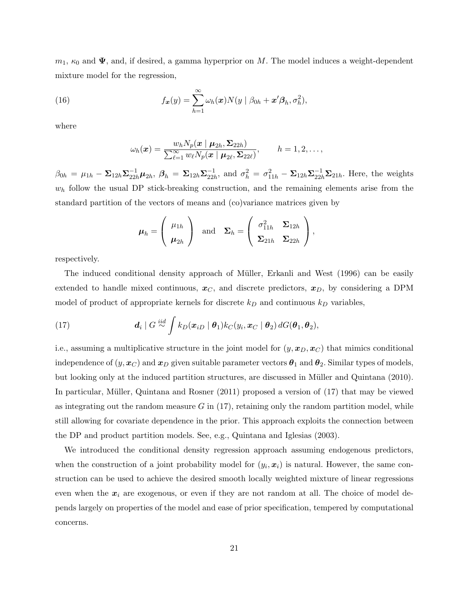$m_1$ ,  $\kappa_0$  and  $\Psi$ , and, if desired, a gamma hyperprior on M. The model induces a weight-dependent mixture model for the regression,

(16) 
$$
f_{\boldsymbol{x}}(y) = \sum_{h=1}^{\infty} \omega_h(\boldsymbol{x}) N(y \mid \beta_{0h} + \boldsymbol{x}' \boldsymbol{\beta}_h, \sigma_h^2),
$$

where

$$
\omega_h(\boldsymbol{x}) = \frac{w_h N_p(\boldsymbol{x} \mid \boldsymbol{\mu}_{2h}, \boldsymbol{\Sigma}_{22h})}{\sum_{\ell=1}^\infty w_\ell N_p(\boldsymbol{x} \mid \boldsymbol{\mu}_{2\ell}, \boldsymbol{\Sigma}_{22\ell})}, \qquad h = 1, 2, \ldots,
$$

 $\beta_{0 h} \, = \, \mu_{1 h} - \mathbf{\Sigma}_{12 h} \mathbf{\Sigma}_{22 h}^{-1} \boldsymbol{\mu}_{2 h}, \ \boldsymbol{\beta}_{h} \, = \, \mathbf{\Sigma}_{12 h} \mathbf{\Sigma}_{22 h}^{-1}$  $\frac{-1}{22h}$ , and  $\sigma_h^2 = \sigma_{11h}^2 - \Sigma_{12h} \Sigma_{22h}^{-1} \Sigma_{21h}$ . Here, the weights  $w<sub>h</sub>$  follow the usual DP stick-breaking construction, and the remaining elements arise from the standard partition of the vectors of means and (co)variance matrices given by

$$
\boldsymbol{\mu}_h = \left(\begin{array}{c} \mu_{1h} \\ \boldsymbol{\mu}_{2h} \end{array}\right) \text{ and } \boldsymbol{\Sigma}_h = \left(\begin{array}{cc} \sigma_{11h}^2 & \boldsymbol{\Sigma}_{12h} \\ \boldsymbol{\Sigma}_{21h} & \boldsymbol{\Sigma}_{22h} \end{array}\right),
$$

respectively.

The induced conditional density approach of Müller, Erkanli and West (1996) can be easily extended to handle mixed continuous,  $x_C$ , and discrete predictors,  $x_D$ , by considering a DPM model of product of appropriate kernels for discrete  $k_D$  and continuous  $k_D$  variables,

(17) 
$$
\boldsymbol{d}_i \mid G \stackrel{iid}{\sim} \int k_D(\boldsymbol{x}_{iD} \mid \boldsymbol{\theta}_1) k_C(y_i, \boldsymbol{x}_C \mid \boldsymbol{\theta}_2) dG(\boldsymbol{\theta}_1, \boldsymbol{\theta}_2),
$$

i.e., assuming a multiplicative structure in the joint model for  $(y, x_D, x_C)$  that mimics conditional independence of  $(y, x_C)$  and  $x_D$  given suitable parameter vectors  $\theta_1$  and  $\theta_2$ . Similar types of models, but looking only at the induced partition structures, are discussed in Müller and Quintana (2010). In particular, M¨uller, Quintana and Rosner (2011) proposed a version of (17) that may be viewed as integrating out the random measure  $G$  in (17), retaining only the random partition model, while still allowing for covariate dependence in the prior. This approach exploits the connection between the DP and product partition models. See, e.g., Quintana and Iglesias (2003).

We introduced the conditional density regression approach assuming endogenous predictors, when the construction of a joint probability model for  $(y_i, x_i)$  is natural. However, the same construction can be used to achieve the desired smooth locally weighted mixture of linear regressions even when the  $x_i$  are exogenous, or even if they are not random at all. The choice of model depends largely on properties of the model and ease of prior specification, tempered by computational concerns.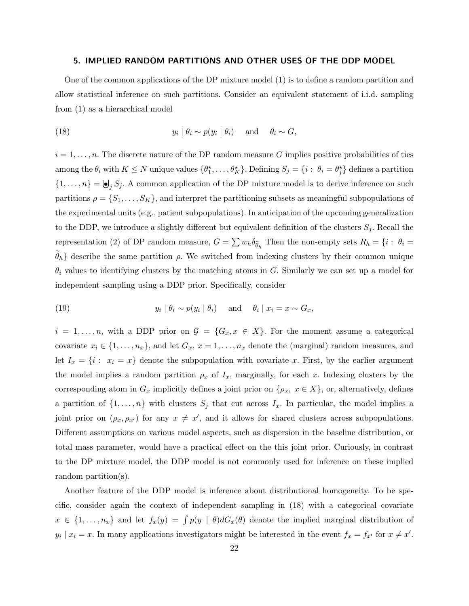#### 5. IMPLIED RANDOM PARTITIONS AND OTHER USES OF THE DDP MODEL

One of the common applications of the DP mixture model (1) is to define a random partition and allow statistical inference on such partitions. Consider an equivalent statement of i.i.d. sampling from (1) as a hierarchical model

(18) 
$$
y_i | \theta_i \sim p(y_i | \theta_i) \quad \text{and} \quad \theta_i \sim G,
$$

 $i = 1, \ldots, n$ . The discrete nature of the DP random measure G implies positive probabilities of ties among the  $\theta_i$  with  $K \leq N$  unique values  $\{\theta_1^*, \ldots, \theta_K^*\}$ . Defining  $S_j = \{i : \theta_i = \theta_j^*\}$  defines a partition  $\{1,\ldots,n\} = \bigcup_j S_j$ . A common application of the DP mixture model is to derive inference on such partitions  $\rho = \{S_1, \ldots, S_K\}$ , and interpret the partitioning subsets as meaningful subpopulations of the experimental units (e.g., patient subpopulations). In anticipation of the upcoming generalization to the DDP, we introduce a slightly different but equivalent definition of the clusters  $S_j$ . Recall the representation (2) of DP random measure,  $G = \sum w_h \delta_{\tilde{\theta}_h}$  Then the non-empty sets  $R_h = \{i : \theta_i = \tilde{\theta}_h\}$  $\{\theta_h\}$  describe the same partition  $\rho$ . We switched from indexing clusters by their common unique  $\theta_i$  values to identifying clusters by the matching atoms in G. Similarly we can set up a model for independent sampling using a DDP prior. Specifically, consider

(19) 
$$
y_i | \theta_i \sim p(y_i | \theta_i) \quad \text{and} \quad \theta_i | x_i = x \sim G_x,
$$

 $i = 1, \ldots, n$ , with a DDP prior on  $\mathcal{G} = \{G_x, x \in X\}$ . For the moment assume a categorical covariate  $x_i \in \{1, \ldots, n_x\}$ , and let  $G_x$ ,  $x = 1, \ldots, n_x$  denote the (marginal) random measures, and let  $I_x = \{i : x_i = x\}$  denote the subpopulation with covariate x. First, by the earlier argument the model implies a random partition  $\rho_x$  of  $I_x$ , marginally, for each x. Indexing clusters by the corresponding atom in  $G_x$  implicitly defines a joint prior on  $\{\rho_x, x \in X\}$ , or, alternatively, defines a partition of  $\{1, \ldots, n\}$  with clusters  $S_j$  that cut across  $I_x$ . In particular, the model implies a joint prior on  $(\rho_x, \rho_{x'})$  for any  $x \neq x'$ , and it allows for shared clusters across subpopulations. Different assumptions on various model aspects, such as dispersion in the baseline distribution, or total mass parameter, would have a practical effect on the this joint prior. Curiously, in contrast to the DP mixture model, the DDP model is not commonly used for inference on these implied random partition(s).

Another feature of the DDP model is inference about distributional homogeneity. To be specific, consider again the context of independent sampling in (18) with a categorical covariate  $x \in \{1, \ldots, n_x\}$  and let  $f_x(y) = \int p(y | \theta) dG_x(\theta)$  denote the implied marginal distribution of  $y_i | x_i = x$ . In many applications investigators might be interested in the event  $f_x = f_{x'}$  for  $x \neq x'$ .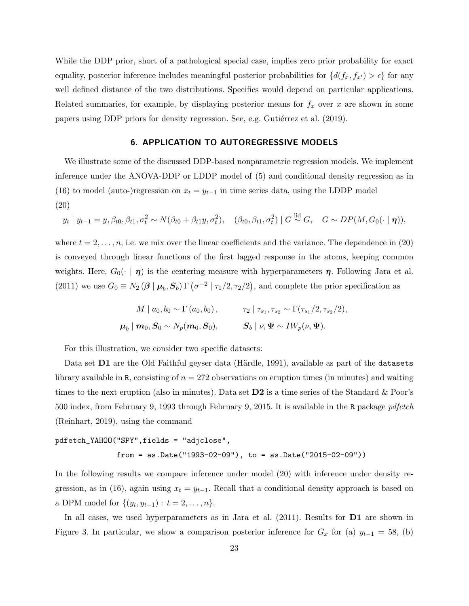While the DDP prior, short of a pathological special case, implies zero prior probability for exact equality, posterior inference includes meaningful posterior probabilities for  $\{d(f_x, f_{x'}) > \epsilon\}$  for any well defined distance of the two distributions. Specifics would depend on particular applications. Related summaries, for example, by displaying posterior means for  $f_x$  over x are shown in some papers using DDP priors for density regression. See, e.g. Gutiérrez et al. (2019).

# 6. APPLICATION TO AUTOREGRESSIVE MODELS

We illustrate some of the discussed DDP-based nonparametric regression models. We implement inference under the ANOVA-DDP or LDDP model of (5) and conditional density regression as in (16) to model (auto-)regression on  $x_t = y_{t-1}$  in time series data, using the LDDP model (20)

$$
y_t | y_{t-1} = y, \beta_{t0}, \beta_{t1}, \sigma_t^2 \sim N(\beta_{t0} + \beta_{t1}y, \sigma_t^2), \quad (\beta_{t0}, \beta_{t1}, \sigma_t^2) | G \stackrel{\text{iid}}{\sim} G, \quad G \sim DP(M, G_0(\cdot | \eta)),
$$

where  $t = 2, \ldots, n$ , i.e. we mix over the linear coefficients and the variance. The dependence in (20) is conveyed through linear functions of the first lagged response in the atoms, keeping common weights. Here,  $G_0(\cdot | \eta)$  is the centering measure with hyperparameters  $\eta$ . Following Jara et al. (2011) we use  $G_0 \equiv N_2 (\beta \mid \mu_b, S_b) \Gamma(\sigma^{-2} \mid \tau_1/2, \tau_2/2)$ , and complete the prior specification as

$$
M \mid a_0, b_0 \sim \Gamma(a_0, b_0), \qquad \tau_2 \mid \tau_{s_1}, \tau_{s_2} \sim \Gamma(\tau_{s_1}/2, \tau_{s_2}/2),
$$
  

$$
\boldsymbol{\mu}_b \mid \boldsymbol{m}_0, \boldsymbol{S}_0 \sim N_p(\boldsymbol{m}_0, \boldsymbol{S}_0), \qquad \boldsymbol{S}_b \mid \nu, \boldsymbol{\Psi} \sim I W_p(\nu, \boldsymbol{\Psi}).
$$

For this illustration, we consider two specific datasets:

Data set  $D1$  are the Old Faithful geyser data (Härdle, 1991), available as part of the datasets library available in R, consisting of  $n = 272$  observations on eruption times (in minutes) and waiting times to the next eruption (also in minutes). Data set  $D2$  is a time series of the Standard & Poor's 500 index, from February 9, 1993 through February 9, 2015. It is available in the R package *pdfetch* (Reinhart, 2019), using the command

# pdfetch\_YAHOO("SPY",fields = "adjclose", from = as.Date("1993-02-09"), to = as.Date("2015-02-09"))

In the following results we compare inference under model (20) with inference under density regression, as in (16), again using  $x_t = y_{t-1}$ . Recall that a conditional density approach is based on a DPM model for  $\{(y_t, y_{t-1}) : t = 2, ..., n\}.$ 

In all cases, we used hyperparameters as in Jara et al. (2011). Results for **D1** are shown in Figure 3. In particular, we show a comparison posterior inference for  $G_x$  for (a)  $y_{t-1} = 58$ , (b)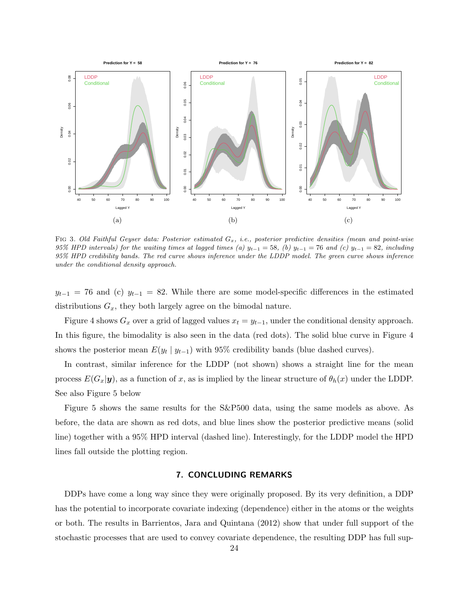

FIG 3. Old Faithful Geyser data: Posterior estimated  $G_x$ , i.e., posterior predictive densities (mean and point-wise 95% HPD intervals) for the waiting times at lagged times (a)  $y_{t-1} = 58$ , (b)  $y_{t-1} = 76$  and (c)  $y_{t-1} = 82$ , including 95% HPD credibility bands. The red curve shows inference under the LDDP model. The green curve shows inference under the conditional density approach.

 $y_{t-1}$  = 76 and (c)  $y_{t-1}$  = 82. While there are some model-specific differences in the estimated distributions  $G_x$ , they both largely agree on the bimodal nature.

Figure 4 shows  $G_x$  over a grid of lagged values  $x_t = y_{t-1}$ , under the conditional density approach. In this figure, the bimodality is also seen in the data (red dots). The solid blue curve in Figure 4 shows the posterior mean  $E(y_t | y_{t-1})$  with 95% credibility bands (blue dashed curves).

In contrast, similar inference for the LDDP (not shown) shows a straight line for the mean process  $E(G_x|y)$ , as a function of x, as is implied by the linear structure of  $\theta_h(x)$  under the LDDP. See also Figure 5 below

Figure 5 shows the same results for the S&P500 data, using the same models as above. As before, the data are shown as red dots, and blue lines show the posterior predictive means (solid line) together with a 95% HPD interval (dashed line). Interestingly, for the LDDP model the HPD lines fall outside the plotting region.

## 7. CONCLUDING REMARKS

DDPs have come a long way since they were originally proposed. By its very definition, a DDP has the potential to incorporate covariate indexing (dependence) either in the atoms or the weights or both. The results in Barrientos, Jara and Quintana (2012) show that under full support of the stochastic processes that are used to convey covariate dependence, the resulting DDP has full sup-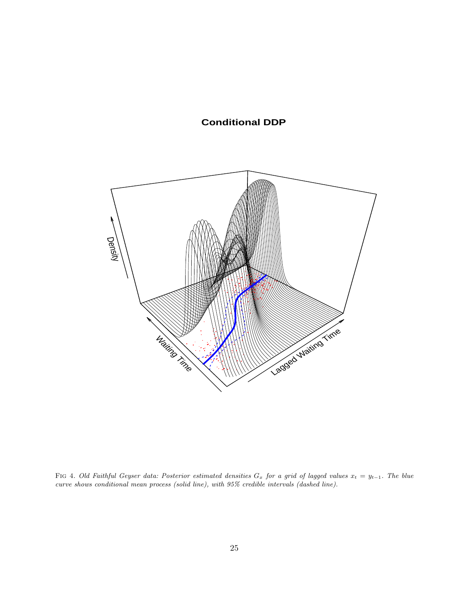# **Conditional DDP**



FIG 4. Old Faithful Geyser data: Posterior estimated densities  $G_x$  for a grid of lagged values  $x_t = y_{t-1}$ . The blue curve shows conditional mean process (solid line), with 95% credible intervals (dashed line).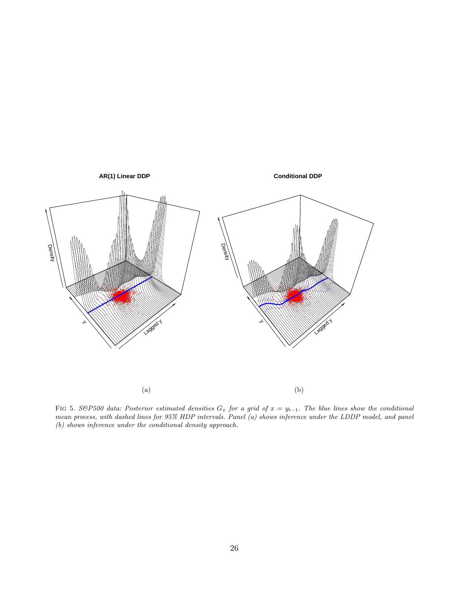

FIG 5. S&P500 data: Posterior estimated densities  $G_x$  for a grid of  $x = y_{t-1}$ . The blue lines show the conditional mean process, with dashed lines for 95% HDP intervals. Panel (a) shows inference under the LDDP model, and panel (b) shows inference under the conditional density approach.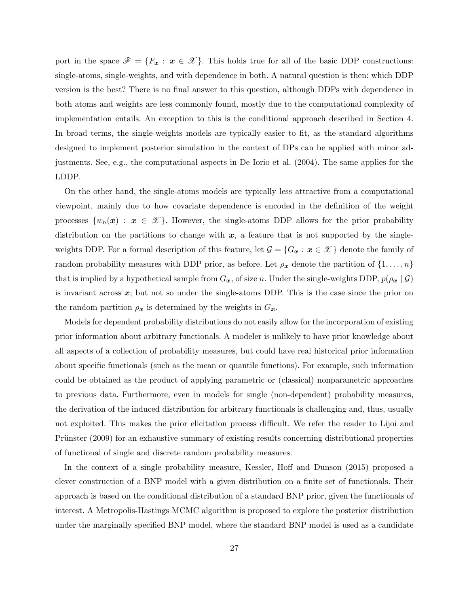port in the space  $\mathscr{F} = \{F_x : x \in \mathscr{X}\}\.$  This holds true for all of the basic DDP constructions: single-atoms, single-weights, and with dependence in both. A natural question is then: which DDP version is the best? There is no final answer to this question, although DDPs with dependence in both atoms and weights are less commonly found, mostly due to the computational complexity of implementation entails. An exception to this is the conditional approach described in Section 4. In broad terms, the single-weights models are typically easier to fit, as the standard algorithms designed to implement posterior simulation in the context of DPs can be applied with minor adjustments. See, e.g., the computational aspects in De Iorio et al. (2004). The same applies for the LDDP.

On the other hand, the single-atoms models are typically less attractive from a computational viewpoint, mainly due to how covariate dependence is encoded in the definition of the weight processes  $\{w_h(\bm{x}) : \bm{x} \in \mathcal{X}\}\.$  However, the single-atoms DDP allows for the prior probability distribution on the partitions to change with  $x$ , a feature that is not supported by the singleweights DDP. For a formal description of this feature, let  $\mathcal{G} = \{G_x : x \in \mathcal{X}\}\$  denote the family of random probability measures with DDP prior, as before. Let  $\rho_x$  denote the partition of  $\{1, \ldots, n\}$ that is implied by a hypothetical sample from  $G_x$ , of size n. Under the single-weights DDP,  $p(\rho_x | \mathcal{G})$ is invariant across  $x$ ; but not so under the single-atoms DDP. This is the case since the prior on the random partition  $\rho_x$  is determined by the weights in  $G_x$ .

Models for dependent probability distributions do not easily allow for the incorporation of existing prior information about arbitrary functionals. A modeler is unlikely to have prior knowledge about all aspects of a collection of probability measures, but could have real historical prior information about specific functionals (such as the mean or quantile functions). For example, such information could be obtained as the product of applying parametric or (classical) nonparametric approaches to previous data. Furthermore, even in models for single (non-dependent) probability measures, the derivation of the induced distribution for arbitrary functionals is challenging and, thus, usually not exploited. This makes the prior elicitation process difficult. We refer the reader to Lijoi and Prünster (2009) for an exhaustive summary of existing results concerning distributional properties of functional of single and discrete random probability measures.

In the context of a single probability measure, Kessler, Hoff and Dunson (2015) proposed a clever construction of a BNP model with a given distribution on a finite set of functionals. Their approach is based on the conditional distribution of a standard BNP prior, given the functionals of interest. A Metropolis-Hastings MCMC algorithm is proposed to explore the posterior distribution under the marginally specified BNP model, where the standard BNP model is used as a candidate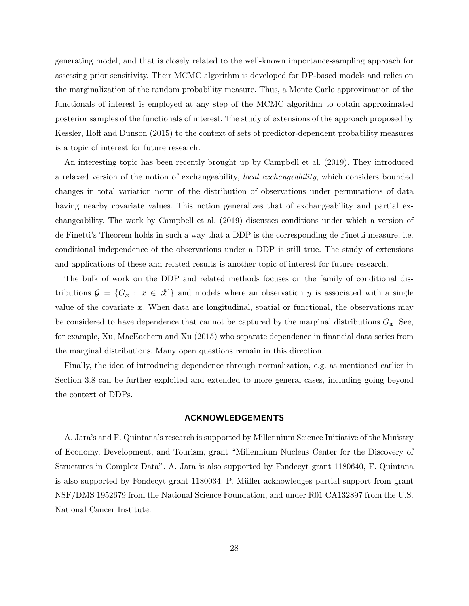generating model, and that is closely related to the well-known importance-sampling approach for assessing prior sensitivity. Their MCMC algorithm is developed for DP-based models and relies on the marginalization of the random probability measure. Thus, a Monte Carlo approximation of the functionals of interest is employed at any step of the MCMC algorithm to obtain approximated posterior samples of the functionals of interest. The study of extensions of the approach proposed by Kessler, Hoff and Dunson (2015) to the context of sets of predictor-dependent probability measures is a topic of interest for future research.

An interesting topic has been recently brought up by Campbell et al. (2019). They introduced a relaxed version of the notion of exchangeability, local exchangeability, which considers bounded changes in total variation norm of the distribution of observations under permutations of data having nearby covariate values. This notion generalizes that of exchangeability and partial exchangeability. The work by Campbell et al. (2019) discusses conditions under which a version of de Finetti's Theorem holds in such a way that a DDP is the corresponding de Finetti measure, i.e. conditional independence of the observations under a DDP is still true. The study of extensions and applications of these and related results is another topic of interest for future research.

The bulk of work on the DDP and related methods focuses on the family of conditional distributions  $\mathcal{G} = \{G_x : x \in \mathcal{X}\}\$ and models where an observation y is associated with a single value of the covariate  $x$ . When data are longitudinal, spatial or functional, the observations may be considered to have dependence that cannot be captured by the marginal distributions  $G_x$ . See, for example, Xu, MacEachern and Xu (2015) who separate dependence in financial data series from the marginal distributions. Many open questions remain in this direction.

Finally, the idea of introducing dependence through normalization, e.g. as mentioned earlier in Section 3.8 can be further exploited and extended to more general cases, including going beyond the context of DDPs.

# ACKNOWLEDGEMENTS

A. Jara's and F. Quintana's research is supported by Millennium Science Initiative of the Ministry of Economy, Development, and Tourism, grant "Millennium Nucleus Center for the Discovery of Structures in Complex Data". A. Jara is also supported by Fondecyt grant 1180640, F. Quintana is also supported by Fondecyt grant 1180034. P. Müller acknowledges partial support from grant NSF/DMS 1952679 from the National Science Foundation, and under R01 CA132897 from the U.S. National Cancer Institute.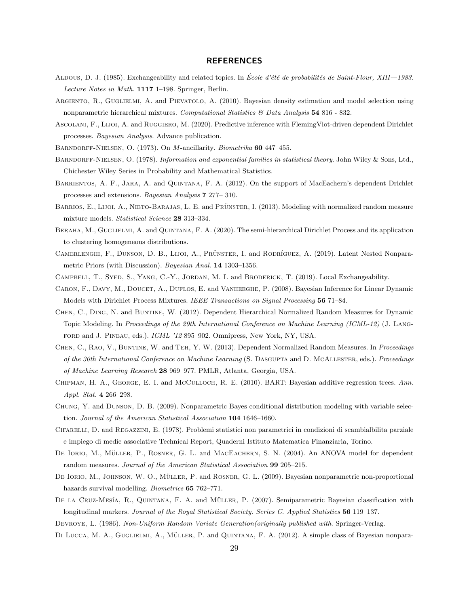#### REFERENCES

- ALDOUS, D. J. (1985). Exchangeability and related topics. In École d'été de probabilités de Saint-Flour, XIII—1983. Lecture Notes in Math. 1117 1–198. Springer, Berlin.
- ARGIENTO, R., GUGLIELMI, A. and PIEVATOLO, A. (2010). Bayesian density estimation and model selection using nonparametric hierarchical mixtures. Computational Statistics  $\&$  Data Analysis 54 816 - 832.
- ASCOLANI, F., LIJOI, A. and RUGGIERO, M. (2020). Predictive inference with FlemingViot-driven dependent Dirichlet processes. Bayesian Analysis. Advance publication.
- Barndorff-Nielsen, O. (1973). On M-ancillarity. Biometrika 60 447–455.
- BARNDORFF-NIELSEN, O. (1978). Information and exponential families in statistical theory. John Wiley & Sons, Ltd., Chichester Wiley Series in Probability and Mathematical Statistics.
- Barrientos, A. F., Jara, A. and Quintana, F. A. (2012). On the support of MacEachern's dependent Drichlet processes and extensions. Bayesian Analysis 7 277– 310.
- BARRIOS, E., LIJOI, A., NIETO-BARAJAS, L. E. and PRÜNSTER, I. (2013). Modeling with normalized random measure mixture models. Statistical Science 28 313–334.
- BERAHA, M., GUGLIELMI, A. and QUINTANA, F. A. (2020). The semi-hierarchical Dirichlet Process and its application to clustering homogeneous distributions.
- CAMERLENGHI, F., DUNSON, D. B., LIJOI, A., PRÜNSTER, I. and RODRÍGUEZ, A. (2019). Latent Nested Nonparametric Priors (with Discussion). Bayesian Anal. 14 1303–1356.
- Campbell, T., Syed, S., Yang, C.-Y., Jordan, M. I. and Broderick, T. (2019). Local Exchangeability.
- CARON, F., DAVY, M., DOUCET, A., DUFLOS, E. and VANHEEGHE, P. (2008). Bayesian Inference for Linear Dynamic Models with Dirichlet Process Mixtures. IEEE Transactions on Signal Processing 56 71–84.
- Chen, C., Ding, N. and Buntine, W. (2012). Dependent Hierarchical Normalized Random Measures for Dynamic Topic Modeling. In Proceedings of the 29th International Conference on Machine Learning (ICML-12) (J. Langford and J. Pineau, eds.). ICML '12 895–902. Omnipress, New York, NY, USA.
- CHEN, C., RAO, V., BUNTINE, W. and TEH, Y. W. (2013). Dependent Normalized Random Measures. In Proceedings of the 30th International Conference on Machine Learning (S. Dasgupta and D. McAllester, eds.). Proceedings of Machine Learning Research 28 969–977. PMLR, Atlanta, Georgia, USA.
- CHIPMAN, H. A., GEORGE, E. I. and McCULLOCH, R. E. (2010). BART: Bayesian additive regression trees. Ann. Appl. Stat. 4 266–298.
- Chung, Y. and Dunson, D. B. (2009). Nonparametric Bayes conditional distribution modeling with variable selection. Journal of the American Statistical Association 104 1646–1660.
- Cifarelli, D. and Regazzini, E. (1978). Problemi statistici non parametrici in condizioni di scambialbilita parziale e impiego di medie associative Technical Report, Quaderni Istituto Matematica Finanziaria, Torino.
- DE IORIO, M., MÜLLER, P., ROSNER, G. L. and MACEACHERN, S. N. (2004). An ANOVA model for dependent random measures. Journal of the American Statistical Association 99 205–215.
- DE IORIO, M., JOHNSON, W. O., MÜLLER, P. and ROSNER, G. L. (2009). Bayesian nonparametric non-proportional hazards survival modelling. Biometrics 65 762–771.
- DE LA CRUZ-MESÍA, R., QUINTANA, F. A. and MÜLLER, P. (2007). Semiparametric Bayesian classification with longitudinal markers. Journal of the Royal Statistical Society. Series C. Applied Statistics 56 119–137.
- DEVROYE, L. (1986). Non-Uniform Random Variate Generation(originally published with. Springer-Verlag.
- DI LUCCA, M. A., GUGLIELMI, A., MÜLLER, P. and QUINTANA, F. A. (2012). A simple class of Bayesian nonpara-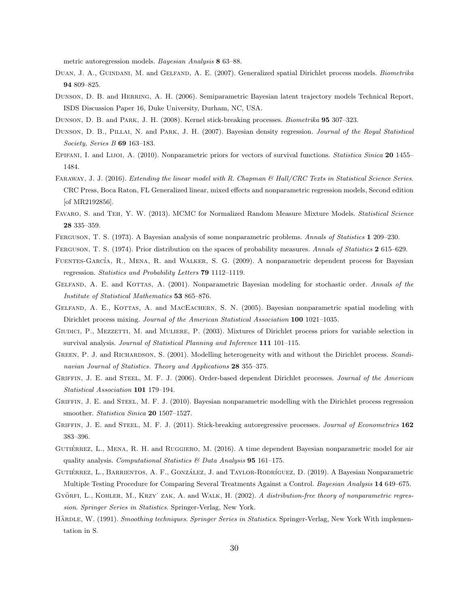metric autoregression models. Bayesian Analysis 8 63–88.

- DUAN, J. A., GUINDANI, M. and GELFAND, A. E. (2007). Generalized spatial Dirichlet process models. Biometrika 94 809–825.
- Dunson, D. B. and Herring, A. H. (2006). Semiparametric Bayesian latent trajectory models Technical Report, ISDS Discussion Paper 16, Duke University, Durham, NC, USA.
- Dunson, D. B. and Park, J. H. (2008). Kernel stick-breaking processes. Biometrika 95 307–323.
- DUNSON, D. B., PILLAI, N. and PARK, J. H. (2007). Bayesian density regression. Journal of the Royal Statistical Society, Series B 69 163–183.
- EPIFANI, I. and LIJOI, A. (2010). Nonparametric priors for vectors of survival functions. Statistica Sinica 20 1455– 1484.
- FARAWAY, J. J. (2016). Extending the linear model with R. Chapman & Hall/CRC Texts in Statistical Science Series. CRC Press, Boca Raton, FL Generalized linear, mixed effects and nonparametric regression models, Second edition [of MR2192856].
- FAVARO, S. and TEH, Y. W. (2013). MCMC for Normalized Random Measure Mixture Models. Statistical Science 28 335–359.
- Ferguson, T. S. (1973). A Bayesian analysis of some nonparametric problems. Annals of Statistics 1 209–230.
- FERGUSON, T. S. (1974). Prior distribution on the spaces of probability measures. Annals of Statistics 2 615–629.
- FUENTES-GARCÍA, R., MENA, R. and WALKER, S. G. (2009). A nonparametric dependent process for Bayesian regression. Statistics and Probability Letters 79 1112–1119.
- GELFAND, A. E. and KOTTAS, A. (2001). Nonparametric Bayesian modeling for stochastic order. Annals of the Institute of Statistical Mathematics 53 865–876.
- GELFAND, A. E., KOTTAS, A. and MACEACHERN, S. N. (2005). Bayesian nonparametric spatial modeling with Dirichlet process mixing. Journal of the American Statistical Association 100 1021–1035.
- GIUDICI, P., MEZZETTI, M. and MULIERE, P. (2003). Mixtures of Dirichlet process priors for variable selection in survival analysis. Journal of Statistical Planning and Inference 111 101–115.
- GREEN, P. J. and RICHARDSON, S. (2001). Modelling heterogeneity with and without the Dirichlet process. Scandinavian Journal of Statistics. Theory and Applications 28 355–375.
- GRIFFIN, J. E. and STEEL, M. F. J. (2006). Order-based dependent Dirichlet processes. Journal of the American Statistical Association 101 179–194.
- GRIFFIN, J. E. and STEEL, M. F. J. (2010). Bayesian nonparametric modelling with the Dirichlet process regression smoother. Statistica Sinica 20 1507–1527.
- GRIFFIN, J. E. and STEEL, M. F. J. (2011). Stick-breaking autoregressive processes. Journal of Econometrics 162 383–396.
- GUTIÉRREZ, L., MENA, R. H. and RUGGIERO, M. (2016). A time dependent Bayesian nonparametric model for air quality analysis. Computational Statistics  $\mathcal B$  Data Analysis 95 161–175.
- GUTIÉRREZ, L., BARRIENTOS, A. F., GONZÁLEZ, J. and TAYLOR-RODRÍGUEZ, D. (2019). A Bayesian Nonparametric Multiple Testing Procedure for Comparing Several Treatments Against a Control. Bayesian Analysis 14 649–675.
- GYÖRFI, L., KOHLER, M., KRZY ZAK, A. and WALK, H. (2002). A distribution-free theory of nonparametric regression. Springer Series in Statistics. Springer-Verlag, New York.
- HÄRDLE, W. (1991). Smoothing techniques. Springer Series in Statistics. Springer-Verlag, New York With implementation in S.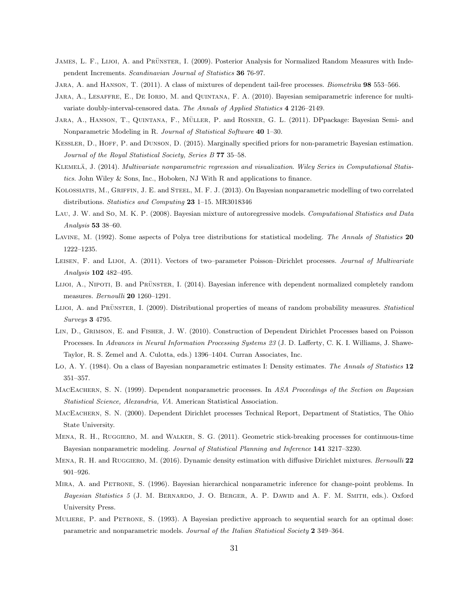- JAMES, L. F., LIJOI, A. and PRÜNSTER, I. (2009). Posterior Analysis for Normalized Random Measures with Independent Increments. Scandinavian Journal of Statistics 36 76-97.
- JARA, A. and HANSON, T. (2011). A class of mixtures of dependent tail-free processes. Biometrika 98 553-566.
- Jara, A., Lesaffre, E., De Iorio, M. and Quintana, F. A. (2010). Bayesian semiparametric inference for multivariate doubly-interval-censored data. The Annals of Applied Statistics 4 2126–2149.
- JARA, A., HANSON, T., QUINTANA, F., MÜLLER, P. and ROSNER, G. L. (2011). DPpackage: Bayesian Semi- and Nonparametric Modeling in R. Journal of Statistical Software 40 1–30.
- KESSLER, D., HOFF, P. and DUNSON, D. (2015). Marginally specified priors for non-parametric Bayesian estimation. Journal of the Royal Statistical Society, Series B 77 35-58.
- KLEMELÄ, J. (2014). Multivariate nonparametric regression and visualization. Wiley Series in Computational Statistics. John Wiley & Sons, Inc., Hoboken, NJ With R and applications to finance.
- Kolossiatis, M., Griffin, J. E. and Steel, M. F. J. (2013). On Bayesian nonparametric modelling of two correlated distributions. Statistics and Computing 23 1-15. MR3018346
- LAU, J. W. and So, M. K. P. (2008). Bayesian mixture of autoregressive models. Computational Statistics and Data Analysis 53 38–60.
- LAVINE, M. (1992). Some aspects of Polya tree distributions for statistical modeling. The Annals of Statistics 20 1222–1235.
- LEISEN, F. and LIJOI, A. (2011). Vectors of two–parameter Poisson–Dirichlet processes. Journal of Multivariate Analysis 102 482–495.
- LIJOI, A., NIPOTI, B. and PRÜNSTER, I. (2014). Bayesian inference with dependent normalized completely random measures. Bernoulli 20 1260-1291.
- LIJOI, A. and PRÜNSTER, I. (2009). Distributional properties of means of random probability measures. Statistical Surveys 3 4795.
- Lin, D., Grimson, E. and Fisher, J. W. (2010). Construction of Dependent Dirichlet Processes based on Poisson Processes. In Advances in Neural Information Processing Systems 23 (J. D. Lafferty, C. K. I. Williams, J. Shawe-Taylor, R. S. Zemel and A. Culotta, eds.) 1396–1404. Curran Associates, Inc.
- Lo, A. Y. (1984). On a class of Bayesian nonparametric estimates I: Density estimates. The Annals of Statistics 12 351–357.
- MACEACHERN, S. N. (1999). Dependent nonparametric processes. In ASA Proceedings of the Section on Bayesian Statistical Science, Alexandria, VA. American Statistical Association.
- MacEachern, S. N. (2000). Dependent Dirichlet processes Technical Report, Department of Statistics, The Ohio State University.
- Mena, R. H., Ruggiero, M. and Walker, S. G. (2011). Geometric stick-breaking processes for continuous-time Bayesian nonparametric modeling. Journal of Statistical Planning and Inference 141 3217–3230.
- MENA, R. H. and RUGGIERO, M. (2016). Dynamic density estimation with diffusive Dirichlet mixtures. Bernoulli 22 901–926.
- Mira, A. and Petrone, S. (1996). Bayesian hierarchical nonparametric inference for change-point problems. In Bayesian Statistics 5 (J. M. BERNARDO, J. O. BERGER, A. P. DAWID and A. F. M. SMITH, eds.). Oxford University Press.
- Muliere, P. and Petrone, S. (1993). A Bayesian predictive approach to sequential search for an optimal dose: parametric and nonparametric models. Journal of the Italian Statistical Society 2 349–364.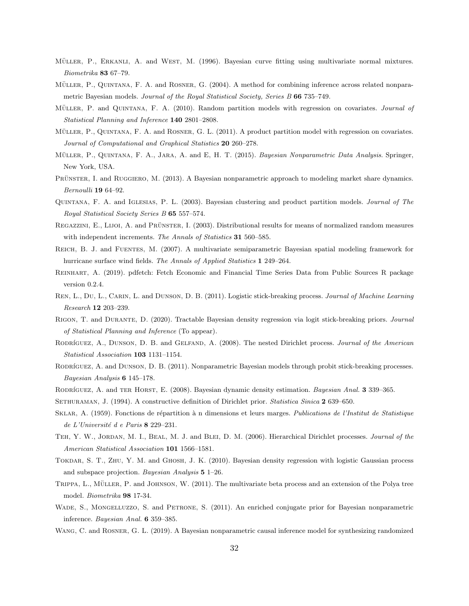- MÜLLER, P., ERKANLI, A. and WEST, M. (1996). Bayesian curve fitting using multivariate normal mixtures. Biometrika 83 67–79.
- MÜLLER, P., QUINTANA, F. A. and ROSNER, G. (2004). A method for combining inference across related nonparametric Bayesian models. Journal of the Royal Statistical Society, Series B 66 735-749.
- MÜLLER, P. and QUINTANA, F. A. (2010). Random partition models with regression on covariates. Journal of Statistical Planning and Inference 140 2801–2808.
- MÜLLER, P., QUINTANA, F. A. and ROSNER, G. L. (2011). A product partition model with regression on covariates. Journal of Computational and Graphical Statistics 20 260–278.
- MÜLLER, P., QUINTANA, F. A., JARA, A. and E, H. T. (2015). Bayesian Nonparametric Data Analysis. Springer, New York, USA.
- PRÜNSTER, I. and RUGGIERO, M. (2013). A Bayesian nonparametric approach to modeling market share dynamics. Bernoulli 19 64–92.
- Quintana, F. A. and Iglesias, P. L. (2003). Bayesian clustering and product partition models. Journal of The Royal Statistical Society Series B 65 557–574.
- REGAZZINI, E., LIJOI, A. and PRÜNSTER, I. (2003). Distributional results for means of normalized random measures with independent increments. The Annals of Statistics 31 560–585.
- Reich, B. J. and Fuentes, M. (2007). A multivariate semiparametric Bayesian spatial modeling framework for hurricane surface wind fields. The Annals of Applied Statistics 1 249–264.
- Reinhart, A. (2019). pdfetch: Fetch Economic and Financial Time Series Data from Public Sources R package version 0.2.4.
- REN, L., DU, L., CARIN, L. and DUNSON, D. B. (2011). Logistic stick-breaking process. Journal of Machine Learning Research 12 203–239.
- Rigon, T. and Durante, D. (2020). Tractable Bayesian density regression via logit stick-breaking priors. Journal of Statistical Planning and Inference (To appear).
- RODRÍGUEZ, A., DUNSON, D. B. and GELFAND, A. (2008). The nested Dirichlet process. Journal of the American Statistical Association 103 1131–1154.
- RODRÍGUEZ, A. and DUNSON, D. B. (2011). Nonparametric Bayesian models through probit stick-breaking processes. Bayesian Analysis 6 145–178.
- RODRÍGUEZ, A. and TER HORST, E. (2008). Bayesian dynamic density estimation. Bayesian Anal. 3 339-365.
- SETHURAMAN, J. (1994). A constructive definition of Dirichlet prior. Statistica Sinica 2 639–650.
- SKLAR, A. (1959). Fonctions de répartition à n dimensions et leurs marges. Publications de l'Institut de Statistique de L'Université d e Paris  $8$  229–231.
- TEH, Y. W., JORDAN, M. I., BEAL, M. J. and BLEI, D. M. (2006). Hierarchical Dirichlet processes. Journal of the American Statistical Association 101 1566–1581.
- Tokdar, S. T., Zhu, Y. M. and Ghosh, J. K. (2010). Bayesian density regression with logistic Gaussian process and subspace projection. Bayesian Analysis 5 1–26.
- TRIPPA, L., MÜLLER, P. and JOHNSON, W. (2011). The multivariate beta process and an extension of the Polya tree model. Biometrika 98 17-34.
- Wade, S., Mongelluzzo, S. and Petrone, S. (2011). An enriched conjugate prior for Bayesian nonparametric inference. Bayesian Anal. 6 359–385.
- Wang, C. and Rosner, G. L. (2019). A Bayesian nonparametric causal inference model for synthesizing randomized